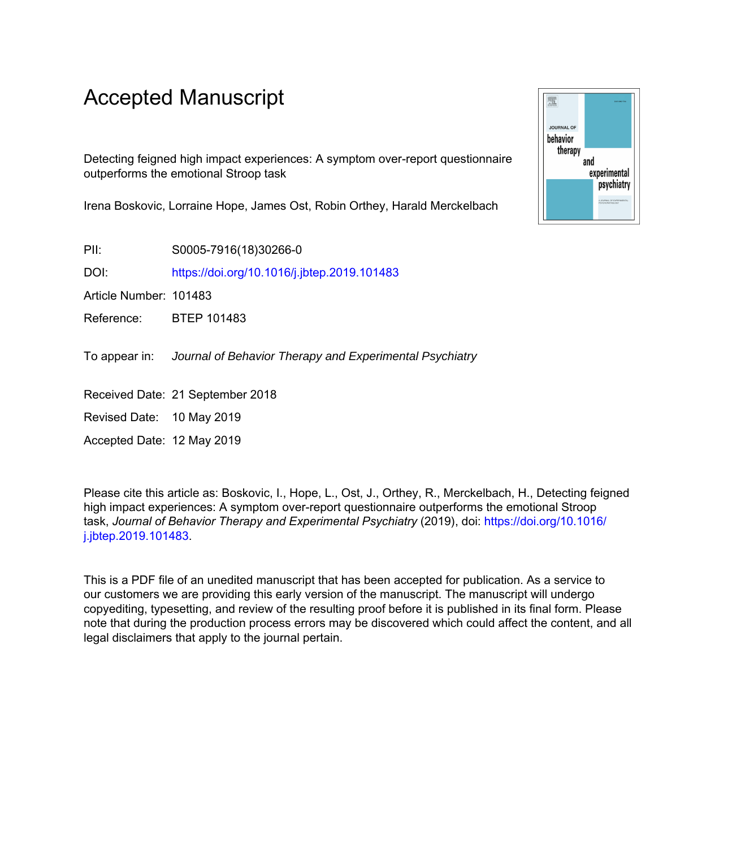# Accepted Manuscript

Detecting feigned high impact experiences: A symptom over-report questionnaire outperforms the emotional Stroop task

Irena Boskovic, Lorraine Hope, James Ost, Robin Orthey, Harald Merckelbach

PII: S0005-7916(18)30266-0

DOI: <https://doi.org/10.1016/j.jbtep.2019.101483>

Article Number: 101483

Reference: BTEP 101483

To appear in: Journal of Behavior Therapy and Experimental Psychiatry

Received Date: 21 September 2018

Revised Date: 10 May 2019

Accepted Date: 12 May 2019

Please cite this article as: Boskovic, I., Hope, L., Ost, J., Orthey, R., Merckelbach, H., Detecting feigned high impact experiences: A symptom over-report questionnaire outperforms the emotional Stroop task, *Journal of Behavior Therapy and Experimental Psychiatry* (2019), doi: [https://doi.org/10.1016/](https://doi.org/10.1016/j.jbtep.2019.101483) [j.jbtep.2019.101483.](https://doi.org/10.1016/j.jbtep.2019.101483)

This is a PDF file of an unedited manuscript that has been accepted for publication. As a service to our customers we are providing this early version of the manuscript. The manuscript will undergo copyediting, typesetting, and review of the resulting proof before it is published in its final form. Please note that during the production process errors may be discovered which could affect the content, and all legal disclaimers that apply to the journal pertain.

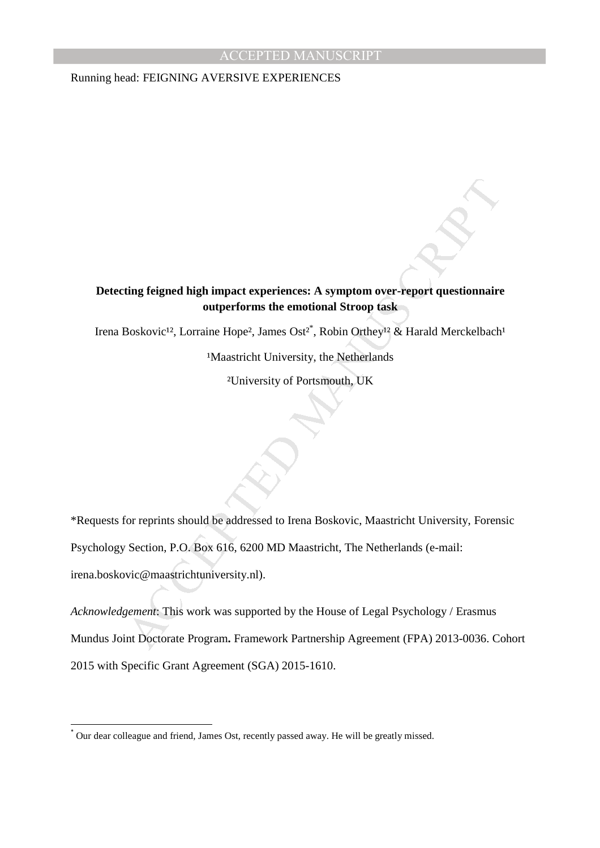Running head: FEIGNING AVERSIVE EXPERIENCES

### **Detecting feigned high impact experiences: A symptom over-report questionnaire outperforms the emotional Stroop task**

Irena Boskovic<sup>12</sup>, Lorraine Hope<sup>2</sup>, James Ost<sup>2\*</sup>, Robin Orthey<sup>12</sup> & Harald Merckelbach<sup>1</sup>

<sup>1</sup>Maastricht University, the Netherlands

²University of Portsmouth, UK

ting feigned high impact experiences: A symptom over-report questionnaire<br>
outperforms the emotional Stroop fask<br>
Boskovic<sup>12</sup>, Lorraine Hope<sup>2</sup>, James Ost<sup>2<sup>\*</sup>, Robin Orthey<sup>12</sup> & Harald Merckelbach<br>
Maastricht University</sup> \*Requests for reprints should be addressed to Irena Boskovic, Maastricht University, Forensic Psychology Section, P.O. Box 616, 6200 MD Maastricht, The Netherlands (e-mail: irena.boskovic@maastrichtuniversity.nl).

*Acknowledgement*: This work was supported by the House of Legal Psychology / Erasmus Mundus Joint Doctorate Program**.** Framework Partnership Agreement (FPA) 2013-0036. Cohort 2015 with Specific Grant Agreement (SGA) 2015-1610.

l,

<sup>\*</sup> Our dear colleague and friend, James Ost, recently passed away. He will be greatly missed.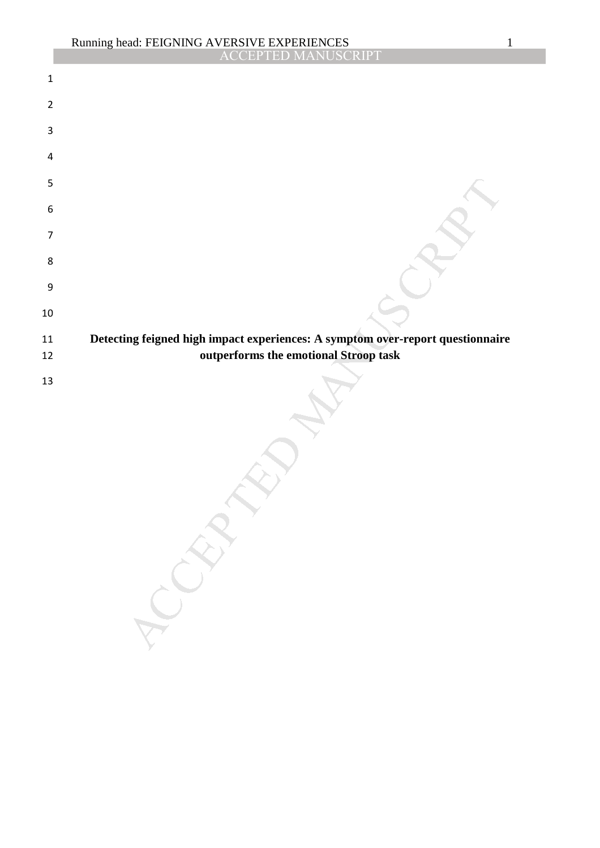|                  | Running head: FEIGNING AVERSIVE EXPERIENCES<br>ACCEPTED MANUSCRIPT<br>$\mathbf{1}$                                      |
|------------------|-------------------------------------------------------------------------------------------------------------------------|
|                  |                                                                                                                         |
| $\mathbf 1$      |                                                                                                                         |
| $\overline{2}$   |                                                                                                                         |
| 3                |                                                                                                                         |
| 4                |                                                                                                                         |
| 5                |                                                                                                                         |
| 6                |                                                                                                                         |
| $\overline{7}$   |                                                                                                                         |
| 8                |                                                                                                                         |
| $\boldsymbol{9}$ |                                                                                                                         |
| $10\,$           |                                                                                                                         |
| 11<br>12         | Detecting feigned high impact experiences: A symptom over-report questionnaire<br>outperforms the emotional Stroop task |
| 13               | LCRAN                                                                                                                   |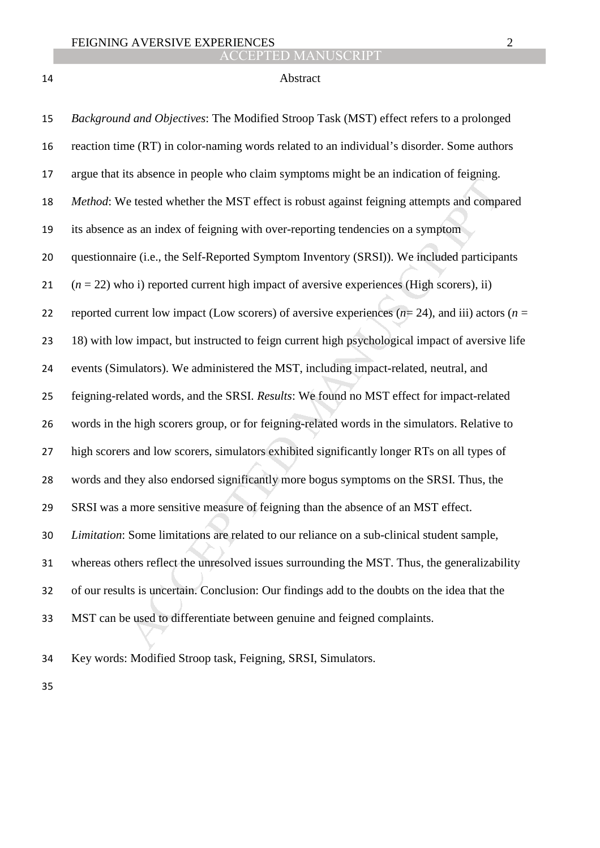## Abstract

| 15 | Background and Objectives: The Modified Stroop Task (MST) effect refers to a prolonged              |
|----|-----------------------------------------------------------------------------------------------------|
| 16 | reaction time (RT) in color-naming words related to an individual's disorder. Some authors          |
| 17 | argue that its absence in people who claim symptoms might be an indication of feigning.             |
| 18 | Method: We tested whether the MST effect is robust against feigning attempts and compared           |
| 19 | its absence as an index of feigning with over-reporting tendencies on a symptom                     |
| 20 | questionnaire (i.e., the Self-Reported Symptom Inventory (SRSI)). We included participants          |
| 21 | $(n = 22)$ who i) reported current high impact of aversive experiences (High scorers), ii)          |
| 22 | reported current low impact (Low scores) of aversive experiences ( $n=24$ ), and iii) actors ( $n=$ |
| 23 | 18) with low impact, but instructed to feign current high psychological impact of aversive life     |
| 24 | events (Simulators). We administered the MST, including impact-related, neutral, and                |
| 25 | feigning-related words, and the SRSI. Results: We found no MST effect for impact-related            |
| 26 | words in the high scorers group, or for feigning-related words in the simulators. Relative to       |
| 27 | high scorers and low scorers, simulators exhibited significantly longer RTs on all types of         |
| 28 | words and they also endorsed significantly more bogus symptoms on the SRSI. Thus, the               |
| 29 | SRSI was a more sensitive measure of feigning than the absence of an MST effect.                    |
| 30 | Limitation: Some limitations are related to our reliance on a sub-clinical student sample,          |
| 31 | whereas others reflect the unresolved issues surrounding the MST. Thus, the generalizability        |
| 32 | of our results is uncertain. Conclusion: Our findings add to the doubts on the idea that the        |
| 33 | MST can be used to differentiate between genuine and feigned complaints.                            |
| 34 | Key words: Modified Stroop task, Feigning, SRSI, Simulators.                                        |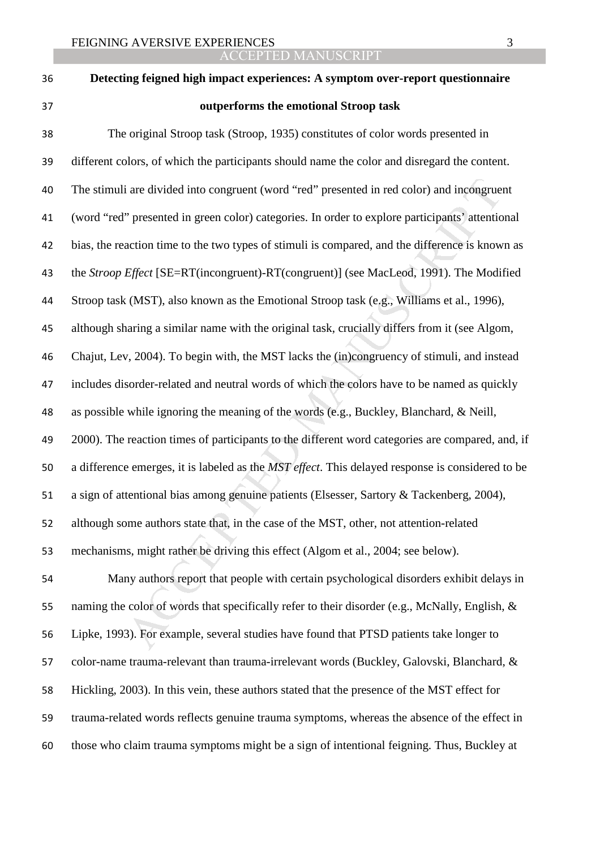| 36 | Detecting feigned high impact experiences: A symptom over-report questionnaire                   |
|----|--------------------------------------------------------------------------------------------------|
| 37 | outperforms the emotional Stroop task                                                            |
| 38 | The original Stroop task (Stroop, 1935) constitutes of color words presented in                  |
| 39 | different colors, of which the participants should name the color and disregard the content.     |
| 40 | The stimuli are divided into congruent (word "red" presented in red color) and incongruent       |
| 41 | (word "red" presented in green color) categories. In order to explore participants' attentional  |
| 42 | bias, the reaction time to the two types of stimuli is compared, and the difference is known as  |
| 43 | the Stroop Effect [SE=RT(incongruent)-RT(congruent)] (see MacLeod, 1991). The Modified           |
| 44 | Stroop task (MST), also known as the Emotional Stroop task (e.g., Williams et al., 1996),        |
| 45 | although sharing a similar name with the original task, crucially differs from it (see Algom,    |
| 46 | Chajut, Lev, 2004). To begin with, the MST lacks the (in)congruency of stimuli, and instead      |
| 47 | includes disorder-related and neutral words of which the colors have to be named as quickly      |
| 48 | as possible while ignoring the meaning of the words (e.g., Buckley, Blanchard, & Neill,          |
| 49 | 2000). The reaction times of participants to the different word categories are compared, and, if |
| 50 | a difference emerges, it is labeled as the MST effect. This delayed response is considered to be |
| 51 | a sign of attentional bias among genuine patients (Elsesser, Sartory & Tackenberg, 2004),        |
| 52 | although some authors state that, in the case of the MST, other, not attention-related           |
| 53 | mechanisms, might rather be driving this effect (Algom et al., 2004; see below).                 |
| 54 | Many authors report that people with certain psychological disorders exhibit delays in           |
| 55 | naming the color of words that specifically refer to their disorder (e.g., McNally, English, &   |
| 56 | Lipke, 1993). For example, several studies have found that PTSD patients take longer to          |
| 57 | color-name trauma-relevant than trauma-irrelevant words (Buckley, Galovski, Blanchard, &         |
| 58 | Hickling, 2003). In this vein, these authors stated that the presence of the MST effect for      |
| 59 | trauma-related words reflects genuine trauma symptoms, whereas the absence of the effect in      |
| 60 | those who claim trauma symptoms might be a sign of intentional feigning. Thus, Buckley at        |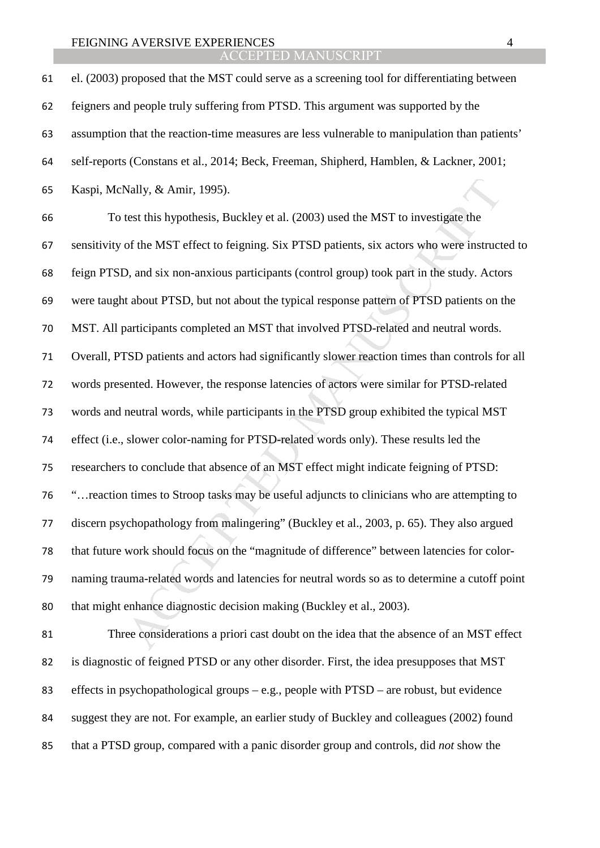ACCEPTED MANUSCRIPT

Nally, & Amir, 1995).<br>
test this hypothesis, Buckley et al. (2003) used the MST to investigate the<br>
of the MST effect to feigning. Six PTSD patients, six actors who were instruct<br>
2, and six non-anxious participants (contr el. (2003) proposed that the MST could serve as a screening tool for differentiating between feigners and people truly suffering from PTSD. This argument was supported by the assumption that the reaction-time measures are less vulnerable to manipulation than patients' self-reports (Constans et al., 2014; Beck, Freeman, Shipherd, Hamblen, & Lackner, 2001; Kaspi, McNally, & Amir, 1995). To test this hypothesis, Buckley et al. (2003) used the MST to investigate the sensitivity of the MST effect to feigning. Six PTSD patients, six actors who were instructed to feign PTSD, and six non-anxious participants (control group) took part in the study. Actors were taught about PTSD, but not about the typical response pattern of PTSD patients on the MST. All participants completed an MST that involved PTSD-related and neutral words. Overall, PTSD patients and actors had significantly slower reaction times than controls for all words presented. However, the response latencies of actors were similar for PTSD-related words and neutral words, while participants in the PTSD group exhibited the typical MST effect (i.e., slower color-naming for PTSD-related words only). These results led the researchers to conclude that absence of an MST effect might indicate feigning of PTSD: "…reaction times to Stroop tasks may be useful adjuncts to clinicians who are attempting to discern psychopathology from malingering" (Buckley et al., 2003, p. 65). They also argued that future work should focus on the "magnitude of difference" between latencies for color-naming trauma-related words and latencies for neutral words so as to determine a cutoff point that might enhance diagnostic decision making (Buckley et al., 2003). Three considerations a priori cast doubt on the idea that the absence of an MST effect is diagnostic of feigned PTSD or any other disorder. First, the idea presupposes that MST effects in psychopathological groups – e.g., people with PTSD – are robust, but evidence suggest they are not. For example, an earlier study of Buckley and colleagues (2002) found

that a PTSD group, compared with a panic disorder group and controls, did *not* show the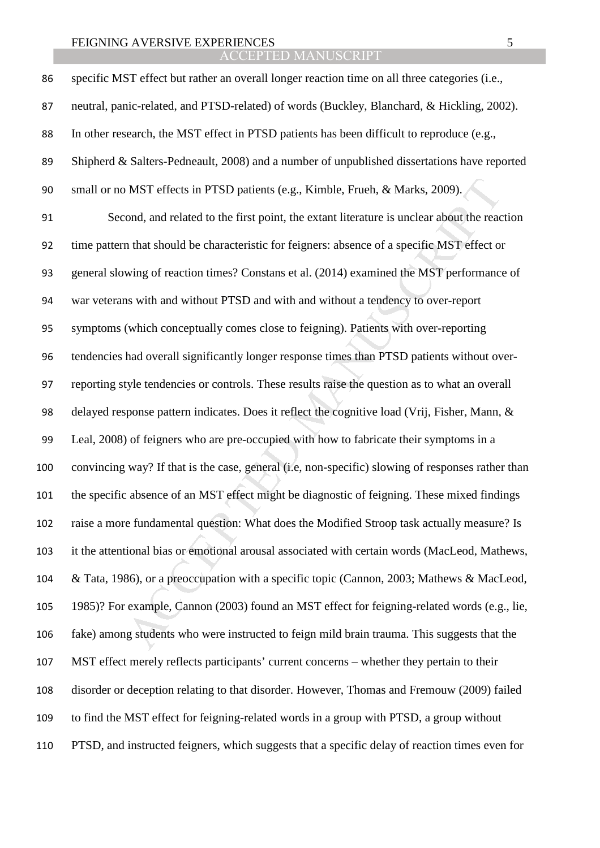ACCEPTED MANUSCRIPT

| 86  | specific MST effect but rather an overall longer reaction time on all three categories (i.e.,     |
|-----|---------------------------------------------------------------------------------------------------|
| 87  | neutral, panic-related, and PTSD-related) of words (Buckley, Blanchard, & Hickling, 2002).        |
| 88  | In other research, the MST effect in PTSD patients has been difficult to reproduce (e.g.,         |
| 89  | Shipherd & Salters-Pedneault, 2008) and a number of unpublished dissertations have reported       |
| 90  | small or no MST effects in PTSD patients (e.g., Kimble, Frueh, & Marks, 2009).                    |
| 91  | Second, and related to the first point, the extant literature is unclear about the reaction       |
| 92  | time pattern that should be characteristic for feigners: absence of a specific MST effect or      |
| 93  | general slowing of reaction times? Constans et al. (2014) examined the MST performance of         |
| 94  | war veterans with and without PTSD and with and without a tendency to over-report                 |
| 95  | symptoms (which conceptually comes close to feigning). Patients with over-reporting               |
| 96  | tendencies had overall significantly longer response times than PTSD patients without over-       |
| 97  | reporting style tendencies or controls. These results raise the question as to what an overall    |
| 98  | delayed response pattern indicates. Does it reflect the cognitive load (Vrij, Fisher, Mann, &     |
| 99  | Leal, 2008) of feigners who are pre-occupied with how to fabricate their symptoms in a            |
| 100 | convincing way? If that is the case, general (i.e, non-specific) slowing of responses rather than |
| 101 | the specific absence of an MST effect might be diagnostic of feigning. These mixed findings       |
| 102 | raise a more fundamental question: What does the Modified Stroop task actually measure? Is        |
| 103 | it the attentional bias or emotional arousal associated with certain words (MacLeod, Mathews,     |
| 104 | & Tata, 1986), or a preoccupation with a specific topic (Cannon, 2003; Mathews & MacLeod,         |
| 105 | 1985)? For example, Cannon (2003) found an MST effect for feigning-related words (e.g., lie,      |
| 106 | fake) among students who were instructed to feign mild brain trauma. This suggests that the       |
| 107 | MST effect merely reflects participants' current concerns – whether they pertain to their         |
| 108 | disorder or deception relating to that disorder. However, Thomas and Fremouw (2009) failed        |
| 109 | to find the MST effect for feigning-related words in a group with PTSD, a group without           |
| 110 | PTSD, and instructed feigners, which suggests that a specific delay of reaction times even for    |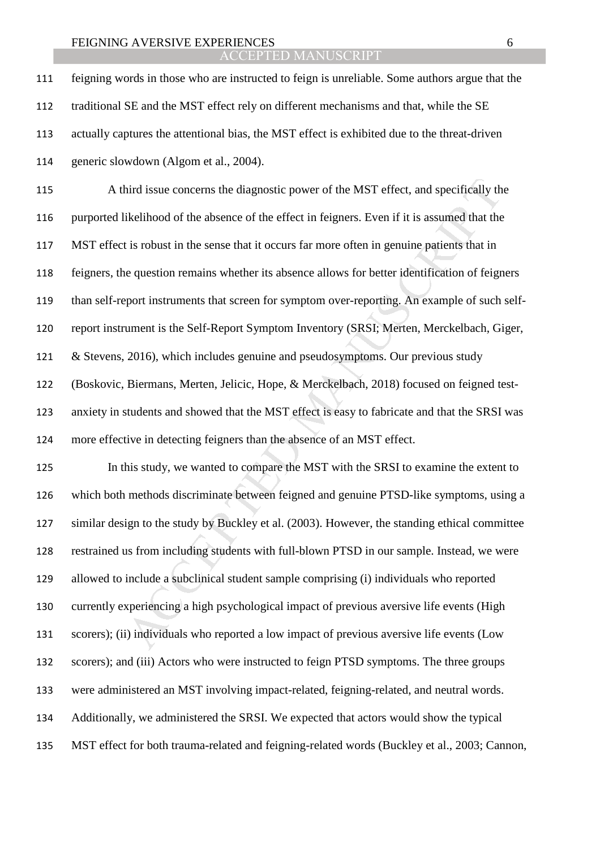ACCEPTED MANUSCRIPT

feigning words in those who are instructed to feign is unreliable. Some authors argue that the traditional SE and the MST effect rely on different mechanisms and that, while the SE actually captures the attentional bias, the MST effect is exhibited due to the threat-driven generic slowdown (Algom et al., 2004).

hird issue concerns the diagnostic power of the MST effect, and specifically th<br>ikelihood of the absence of the effect in feigners. Even if it is assumed that the<br>is robust in the sense that it occurs far more often in gen A third issue concerns the diagnostic power of the MST effect, and specifically the purported likelihood of the absence of the effect in feigners. Even if it is assumed that the MST effect is robust in the sense that it occurs far more often in genuine patients that in feigners, the question remains whether its absence allows for better identification of feigners than self-report instruments that screen for symptom over-reporting. An example of such self-report instrument is the Self-Report Symptom Inventory (SRSI; Merten, Merckelbach, Giger, & Stevens, 2016), which includes genuine and pseudosymptoms. Our previous study (Boskovic, Biermans, Merten, Jelicic, Hope, & Merckelbach, 2018) focused on feigned test-anxiety in students and showed that the MST effect is easy to fabricate and that the SRSI was more effective in detecting feigners than the absence of an MST effect.

In this study, we wanted to compare the MST with the SRSI to examine the extent to which both methods discriminate between feigned and genuine PTSD-like symptoms, using a similar design to the study by Buckley et al. (2003). However, the standing ethical committee restrained us from including students with full-blown PTSD in our sample. Instead, we were allowed to include a subclinical student sample comprising (i) individuals who reported currently experiencing a high psychological impact of previous aversive life events (High scorers); (ii) individuals who reported a low impact of previous aversive life events (Low scorers); and (iii) Actors who were instructed to feign PTSD symptoms. The three groups were administered an MST involving impact-related, feigning-related, and neutral words. Additionally, we administered the SRSI. We expected that actors would show the typical MST effect for both trauma-related and feigning-related words (Buckley et al., 2003; Cannon,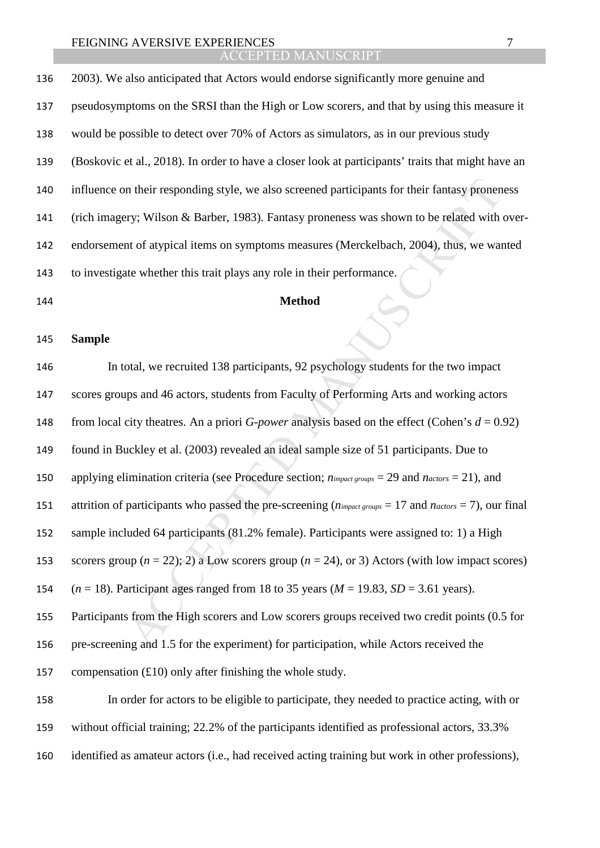## ACCEPTED MANUSCRIPT

2003). We also anticipated that Actors would endorse significantly more genuine and pseudosymptoms on the SRSI than the High or Low scorers, and that by using this measure it would be possible to detect over 70% of Actors as simulators, as in our previous study (Boskovic et al., 2018). In order to have a closer look at participants' traits that might have an influence on their responding style, we also screened participants for their fantasy proneness (rich imagery; Wilson & Barber, 1983). Fantasy proneness was shown to be related with over-endorsement of atypical items on symptoms measures (Merckelbach, 2004), thus, we wanted to investigate whether this trait plays any role in their performance. **Method** 

**Sample** 

in their responding style, we also screened participants for their fantasy pronency; Wilson & Barber, 1983). Fantasy pronencess was shown to be related with the of atypical items on symptoms measures (Merckelbach, 2004), In total, we recruited 138 participants, 92 psychology students for the two impact scores groups and 46 actors, students from Faculty of Performing Arts and working actors 148 from local city theatres. An a priori *G-power* analysis based on the effect (Cohen's  $d = 0.92$ ) found in Buckley et al. (2003) revealed an ideal sample size of 51 participants. Due to applying elimination criteria (see Procedure section; *nimpact groups* = 29 and *nactors* = 21), and attrition of participants who passed the pre-screening (*nimpact groups* = 17 and *nactors* = 7), our final sample included 64 participants (81.2% female). Participants were assigned to: 1) a High 153 scorers group  $(n = 22)$ ; 2) a Low scorers group  $(n = 24)$ , or 3) Actors (with low impact scores) (*n* = 18). Participant ages ranged from 18 to 35 years (*M* = 19.83, *SD* = 3.61 years). Participants from the High scorers and Low scorers groups received two credit points (0.5 for pre-screening and 1.5 for the experiment) for participation, while Actors received the 157 compensation  $(£10)$  only after finishing the whole study. In order for actors to be eligible to participate, they needed to practice acting, with or without official training; 22.2% of the participants identified as professional actors, 33.3%

identified as amateur actors (i.e., had received acting training but work in other professions),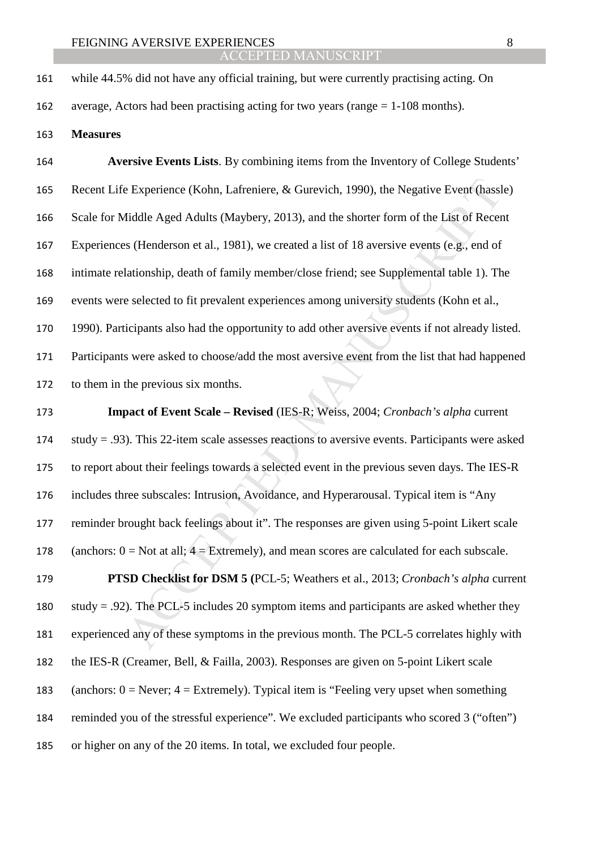average, Actors had been practising acting for two years (range = 1-108 months).

**Measures** 

**Aversive Events Lists**. By combining items from the Inventory of College Students' Recent Life Experience (Kohn, Lafreniere, & Gurevich, 1990), the Negative Event (hassle) Scale for Middle Aged Adults (Maybery, 2013), and the shorter form of the List of Recent Experiences (Henderson et al., 1981), we created a list of 18 aversive events (e.g., end of intimate relationship, death of family member/close friend; see Supplemental table 1). The events were selected to fit prevalent experiences among university students (Kohn et al., 1990). Participants also had the opportunity to add other aversive events if not already listed. Participants were asked to choose/add the most aversive event from the list that had happened to them in the previous six months.

Experience (Kohn, Lafreniere, & Gurevich, 1990), the Negative Event (has<br>
diddle Aged Adults (Maybery, 2013), and the shorter form of the List of Recer<br>
s (Henderson et al., 1981), we created a list of 18 aversive events ( **Impact of Event Scale – Revised** (IES-R; Weiss, 2004; *Cronbach's alpha* current study = .93). This 22-item scale assesses reactions to aversive events. Participants were asked to report about their feelings towards a selected event in the previous seven days. The IES-R includes three subscales: Intrusion, Avoidance, and Hyperarousal. Typical item is "Any reminder brought back feelings about it". The responses are given using 5-point Likert scale 178 (anchors:  $0 = Not$  at all;  $4 = Extremely$ ), and mean scores are calculated for each subscale. **PTSD Checklist for DSM 5 (**PCL-5; Weathers et al., 2013; *Cronbach's alpha* current 180 study = .92). The PCL-5 includes 20 symptom items and participants are asked whether they experienced any of these symptoms in the previous month. The PCL-5 correlates highly with the IES-R (Creamer, Bell, & Failla, 2003). Responses are given on 5-point Likert scale

183 (anchors:  $0 =$  Never;  $4 =$  Extremely). Typical item is "Feeling very upset when something

reminded you of the stressful experience". We excluded participants who scored 3 ("often")

or higher on any of the 20 items. In total, we excluded four people.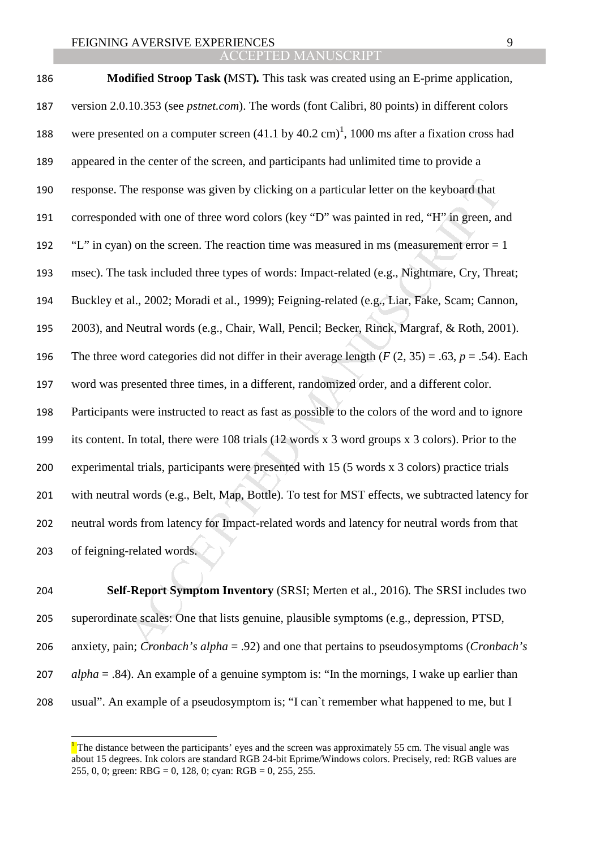| 186 | <b>Modified Stroop Task (MST).</b> This task was created using an E-prime application,                          |
|-----|-----------------------------------------------------------------------------------------------------------------|
| 187 | version 2.0.10.353 (see <i>pstnet.com</i> ). The words (font Calibri, 80 points) in different colors            |
| 188 | were presented on a computer screen $(41.1 \text{ by } 40.2 \text{ cm})^1$ , 1000 ms after a fixation cross had |
| 189 | appeared in the center of the screen, and participants had unlimited time to provide a                          |
| 190 | response. The response was given by clicking on a particular letter on the keyboard that                        |
| 191 | corresponded with one of three word colors (key "D" was painted in red, "H" in green, and                       |
| 192 | "L" in cyan) on the screen. The reaction time was measured in ms (measurement error $= 1$                       |
| 193 | msec). The task included three types of words: Impact-related (e.g., Nightmare, Cry, Threat;                    |
| 194 | Buckley et al., 2002; Moradi et al., 1999); Feigning-related (e.g., Liar, Fake, Scam; Cannon,                   |
| 195 | 2003), and Neutral words (e.g., Chair, Wall, Pencil; Becker, Rinck, Margraf, & Roth, 2001).                     |
| 196 | The three word categories did not differ in their average length ( $F(2, 35) = .63$ , $p = .54$ ). Each         |
| 197 | word was presented three times, in a different, randomized order, and a different color.                        |
| 198 | Participants were instructed to react as fast as possible to the colors of the word and to ignore               |
| 199 | its content. In total, there were 108 trials (12 words x 3 word groups x 3 colors). Prior to the                |
| 200 | experimental trials, participants were presented with 15 (5 words x 3 colors) practice trials                   |
| 201 | with neutral words (e.g., Belt, Map, Bottle). To test for MST effects, we subtracted latency for                |
| 202 | neutral words from latency for Impact-related words and latency for neutral words from that                     |
| 203 | of feigning-related words.                                                                                      |
|     |                                                                                                                 |
| 204 | Self-Report Symptom Inventory (SRSI; Merten et al., 2016). The SRSI includes two                                |
| 205 | superordinate scales: One that lists genuine, plausible symptoms (e.g., depression, PTSD,                       |
| 206 | anxiety, pain; <i>Cronbach's alpha</i> = .92) and one that pertains to pseudosymptoms ( <i>Cronbach's</i> )     |

**Self-Report Symptom Inventory** (SRSI; Merten et al., 2016)*.* The SRSI includes two superordinate scales: One that lists genuine, plausible symptoms (e.g., depression, PTSD, anxiety, pain; *Cronbach's alpha* = .92) and one that pertains to pseudosymptoms (*Cronbach's alpha* = .84). An example of a genuine symptom is: "In the mornings, I wake up earlier than usual". An example of a pseudosymptom is; "I can`t remember what happened to me, but I

 $\overline{a}$ 

<sup>&</sup>lt;sup>1</sup>The distance between the participants' eyes and the screen was approximately 55 cm. The visual angle was about 15 degrees. Ink colors are standard RGB 24-bit Eprime/Windows colors. Precisely, red: RGB values are 255, 0, 0; green: RBG = 0, 128, 0; cyan: RGB = 0, 255, 255.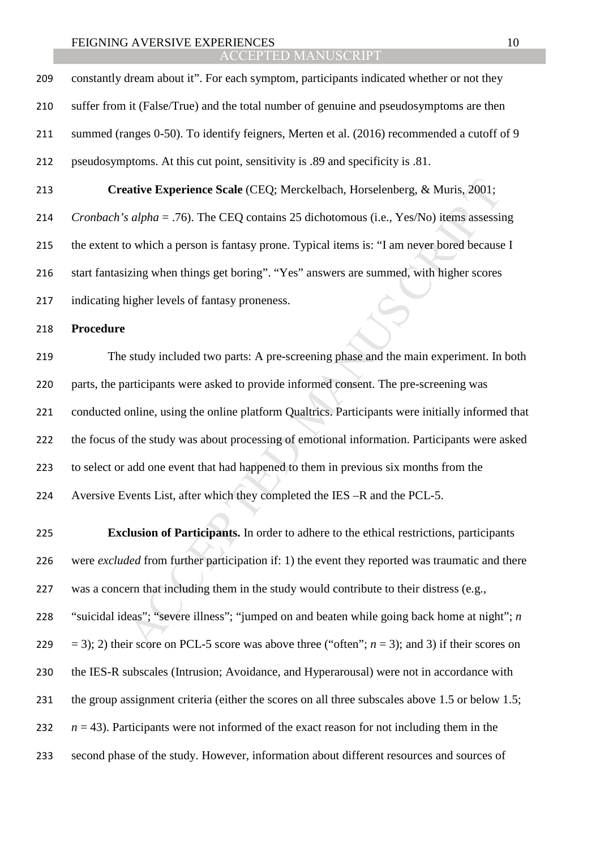**Example 12**<br> *Addentive* Experience Scale (CEQ: Merckelbach, Horselenberg, & Muris, 2001;<br> *Adpha* = .76). The CEQ contains 25 dichotomous (i.e., Yes/No) items assessint<br>
o which a person is fantasy prone. Typical items constantly dream about it". For each symptom, participants indicated whether or not they suffer from it (False/True) and the total number of genuine and pseudosymptoms are then summed (ranges 0-50). To identify feigners, Merten et al. (2016) recommended a cutoff of 9 pseudosymptoms. At this cut point, sensitivity is .89 and specificity is .81. **Creative Experience Scale** (CEQ; Merckelbach, Horselenberg, & Muris, 2001; *Cronbach's alpha* = .76). The CEQ contains 25 dichotomous (i.e., Yes/No) items assessing the extent to which a person is fantasy prone. Typical items is: "I am never bored because I start fantasizing when things get boring". "Yes" answers are summed, with higher scores indicating higher levels of fantasy proneness. **Procedure**  The study included two parts: A pre-screening phase and the main experiment. In both parts, the participants were asked to provide informed consent. The pre-screening was conducted online, using the online platform Qualtrics. Participants were initially informed that

the focus of the study was about processing of emotional information. Participants were asked to select or add one event that had happened to them in previous six months from the Aversive Events List, after which they completed the IES –R and the PCL-5.

**Exclusion of Participants.** In order to adhere to the ethical restrictions, participants were *excluded* from further participation if: 1) the event they reported was traumatic and there was a concern that including them in the study would contribute to their distress (e.g., "suicidal ideas"; "severe illness"; "jumped on and beaten while going back home at night"; *n*  $=$  3); 2) their score on PCL-5 score was above three ("often"; *n* = 3); and 3) if their scores on the IES-R subscales (Intrusion; Avoidance, and Hyperarousal) were not in accordance with the group assignment criteria (either the scores on all three subscales above 1.5 or below 1.5;  $n = 43$ ). Participants were not informed of the exact reason for not including them in the second phase of the study. However, information about different resources and sources of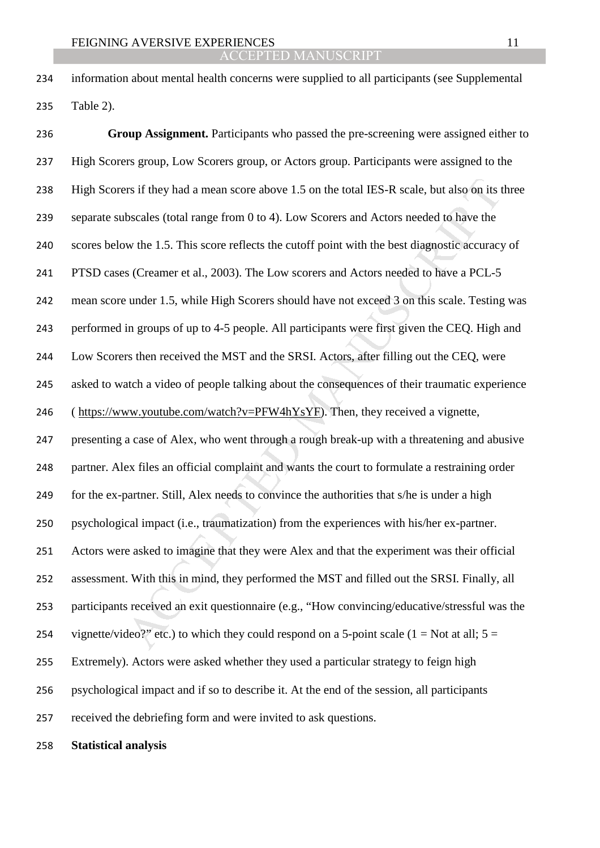information about mental health concerns were supplied to all participants (see Supplemental Table 2).

ers if they had a mean score above 1.5 on the total IES-R scale, but also on its these<br>ales (total range from 0 to 4). Low Scorers and Actors needed to have the<br>we the 1.5. This score reflects the cutoff point with the be **Group Assignment.** Participants who passed the pre-screening were assigned either to High Scorers group, Low Scorers group, or Actors group. Participants were assigned to the High Scorers if they had a mean score above 1.5 on the total IES-R scale, but also on its three separate subscales (total range from 0 to 4). Low Scorers and Actors needed to have the scores below the 1.5. This score reflects the cutoff point with the best diagnostic accuracy of PTSD cases (Creamer et al., 2003). The Low scorers and Actors needed to have a PCL-5 mean score under 1.5, while High Scorers should have not exceed 3 on this scale. Testing was performed in groups of up to 4-5 people. All participants were first given the CEQ. High and Low Scorers then received the MST and the SRSI. Actors, after filling out the CEQ, were asked to watch a video of people talking about the consequences of their traumatic experience 246 (https://www.youtube.com/watch?v=PFW4hYsYF). Then, they received a vignette, presenting a case of Alex, who went through a rough break-up with a threatening and abusive partner. Alex files an official complaint and wants the court to formulate a restraining order for the ex-partner. Still, Alex needs to convince the authorities that s/he is under a high psychological impact (i.e., traumatization) from the experiences with his/her ex-partner. Actors were asked to imagine that they were Alex and that the experiment was their official assessment. With this in mind, they performed the MST and filled out the SRSI. Finally, all participants received an exit questionnaire (e.g., "How convincing/educative/stressful was the 254 vignette/video?" etc.) to which they could respond on a 5-point scale (1 = Not at all;  $5 =$ Extremely). Actors were asked whether they used a particular strategy to feign high psychological impact and if so to describe it. At the end of the session, all participants received the debriefing form and were invited to ask questions.

**Statistical analysis**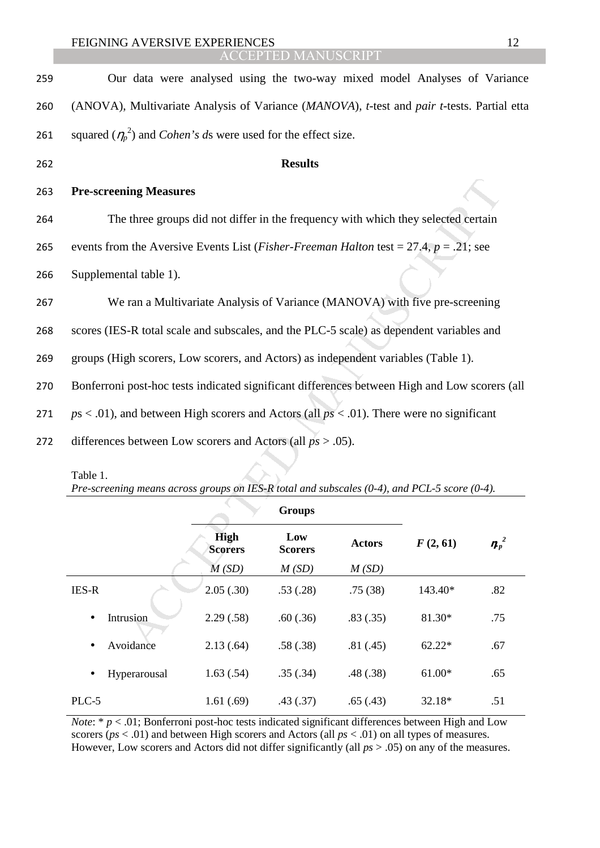| 259 | Our data were analysed using the two-way mixed model Analyses of Variance                                |                               |                       |               |          |                      |  |
|-----|----------------------------------------------------------------------------------------------------------|-------------------------------|-----------------------|---------------|----------|----------------------|--|
| 260 | (ANOVA), Multivariate Analysis of Variance (MANOVA), t-test and pair t-tests. Partial etta               |                               |                       |               |          |                      |  |
| 261 | squared $(\eta_p^2)$ and <i>Cohen's ds</i> were used for the effect size.                                |                               |                       |               |          |                      |  |
| 262 | <b>Results</b>                                                                                           |                               |                       |               |          |                      |  |
| 263 | <b>Pre-screening Measures</b>                                                                            |                               |                       |               |          |                      |  |
| 264 | The three groups did not differ in the frequency with which they selected certain                        |                               |                       |               |          |                      |  |
| 265 | events from the Aversive Events List ( <i>Fisher-Freeman Halton</i> test = 27.4, $p = .21$ ; see         |                               |                       |               |          |                      |  |
| 266 | Supplemental table 1).                                                                                   |                               |                       |               |          |                      |  |
| 267 | We ran a Multivariate Analysis of Variance (MANOVA) with five pre-screening                              |                               |                       |               |          |                      |  |
| 268 | scores (IES-R total scale and subscales, and the PLC-5 scale) as dependent variables and                 |                               |                       |               |          |                      |  |
| 269 | groups (High scorers, Low scorers, and Actors) as independent variables (Table 1).                       |                               |                       |               |          |                      |  |
| 270 | Bonferroni post-hoc tests indicated significant differences between High and Low scorers (all            |                               |                       |               |          |                      |  |
| 271 | $ps < .01$ ), and between High scorers and Actors (all $ps < .01$ ). There were no significant           |                               |                       |               |          |                      |  |
| 272 | differences between Low scorers and Actors (all $ps > .05$ ).                                            |                               |                       |               |          |                      |  |
|     | Table 1.<br>Pre-screening means across groups on IES-R total and subscales (0-4), and PCL-5 score (0-4). |                               |                       |               |          |                      |  |
|     |                                                                                                          |                               | <b>Groups</b>         |               |          |                      |  |
|     |                                                                                                          | <b>High</b><br><b>Scorers</b> | Low<br><b>Scorers</b> | <b>Actors</b> | F(2, 61) | $\boldsymbol{p}_p^2$ |  |
|     |                                                                                                          | M(SD)                         | M(SD)                 | M(SD)         |          |                      |  |
|     | <b>IES-R</b>                                                                                             | 2.05(.30)                     | .53(.28)              | .75(38)       | 143.40*  | .82                  |  |
|     | Intrusion                                                                                                | 2.29(.58)                     | .60(.36)              | .83(.35)      | 81.30*   | .75                  |  |
|     | Avoidance                                                                                                | 2.13(.64)                     | .58(.38)              | .81(.45)      | $62.22*$ | .67                  |  |

| Table 1.                                                                                           |
|----------------------------------------------------------------------------------------------------|
| Pre-screening means across groups on IES-R total and subscales $(0-4)$ , and PCL-5 score $(0-4)$ . |
| <b>Groups</b>                                                                                      |

|                        |                               | <b>OLVUPP</b>         |               |          |         |  |
|------------------------|-------------------------------|-----------------------|---------------|----------|---------|--|
|                        | <b>High</b><br><b>Scorers</b> | Low<br><b>Scorers</b> | <b>Actors</b> | F(2, 61) | $n_p^2$ |  |
|                        | M(SD)                         | M(SD)                 | M(SD)         |          |         |  |
| <b>IES-R</b>           | 2.05(.30)                     | .53(.28)              | .75(38)       | 143.40*  | .82     |  |
| Intrusion<br>$\bullet$ | 2.29(.58)                     | .60(.36)              | .83(.35)      | 81.30*   | .75     |  |
| Avoidance<br>$\bullet$ | 2.13(.64)                     | .58(.38)              | .81(.45)      | $62.22*$ | .67     |  |
| Hyperarousal           | 1.63(.54)                     | .35(.34)              | .48(.38)      | $61.00*$ | .65     |  |
| PLC-5                  | 1.61(.69)                     | .43(.37)              | .65(.43)      | 32.18*   | .51     |  |

*Note*: \* *p* < .01; Bonferroni post-hoc tests indicated significant differences between High and Low scorers (*ps* < .01) and between High scorers and Actors (all *ps* < .01) on all types of measures. However, Low scorers and Actors did not differ significantly (all *ps* > .05) on any of the measures.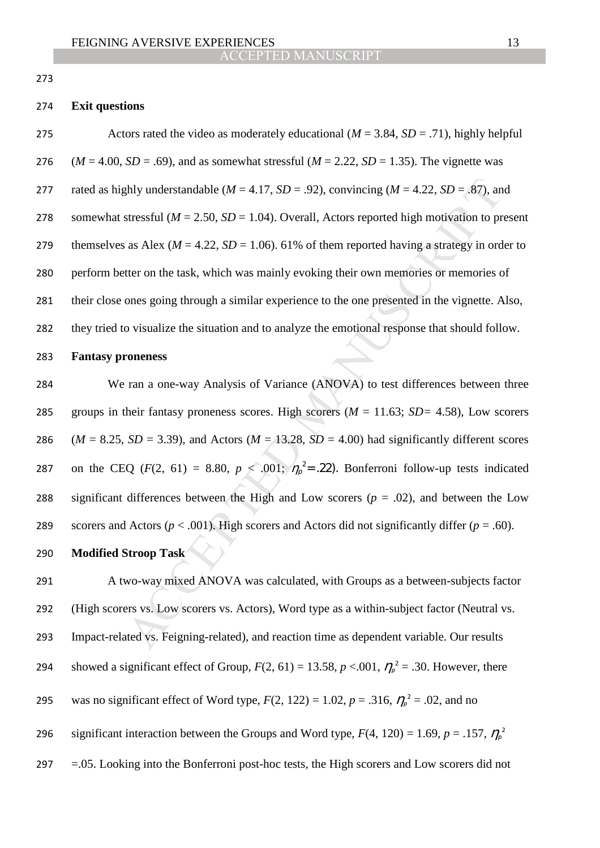273

### 274 **Exit questions**

Actors rated the video as moderately educational (*M* = 3.84, *SD* = .71), highly helpful  $(M = 4.00, SD = .69)$ , and as somewhat stressful  $(M = 2.22, SD = 1.35)$ . The vignette was 277 rated as highly understandable ( $M = 4.17$ ,  $SD = .92$ ), convincing ( $M = 4.22$ ,  $SD = .87$ ), and somewhat stressful (*M* = 2.50, *SD* = 1.04). Overall, Actors reported high motivation to present 279 themselves as Alex ( $M = 4.22$ ,  $SD = 1.06$ ). 61% of them reported having a strategy in order to perform better on the task, which was mainly evoking their own memories or memories of their close ones going through a similar experience to the one presented in the vignette. Also, they tried to visualize the situation and to analyze the emotional response that should follow.

#### 283 **Fantasy proneness**

ghly understandable ( $M = 4.17$ ,  $SD = .92$ ), convincing ( $M = 4.22$ ,  $SD = .87$ ), and<br>stressful ( $M = 2.50$ ,  $SD = 1.04$ ). Overall, Actors reported high motivation to pr<br>as Alex ( $M = 4.22$ ,  $SD = 1.06$ ). 61% of them reported having a 284 We ran a one-way Analysis of Variance (ANOVA) to test differences between three 285 groups in their fantasy proneness scores. High scorers (*M* = 11.63; *SD=* 4.58), Low scorers 286 ( $M = 8.25$ ,  $SD = 3.39$ ), and Actors ( $M = 13.28$ ,  $SD = 4.00$ ) had significantly different scores 287 on the CEQ ( $F(2, 61) = 8.80$ ,  $p < .001$ ;  $\eta_p^2 = .22$ ). Bonferroni follow-up tests indicated 288 significant differences between the High and Low scorers  $(p = .02)$ , and between the Low 289 scorers and Actors ( $p < .001$ ). High scorers and Actors did not significantly differ ( $p = .60$ ).

## 290 **Modified Stroop Task**

291 A two-way mixed ANOVA was calculated, with Groups as a between-subjects factor 292 (High scorers vs. Low scorers vs. Actors), Word type as a within-subject factor (Neutral vs. 293 Impact-related vs. Feigning-related), and reaction time as dependent variable. Our results showed a significant effect of Group,  $F(2, 61) = 13.58$ ,  $p < .001$ ,  $\eta_p^2 = .30$ . However, there 295 was no significant effect of Word type,  $F(2, 122) = 1.02$ ,  $p = .316$ ,  $\eta_p^2 = .02$ , and no significant interaction between the Groups and Word type,  $F(4, 120) = 1.69$ ,  $p = .157$ ,  $\eta_p^2$ 296 297 =.05. Looking into the Bonferroni post-hoc tests, the High scorers and Low scorers did not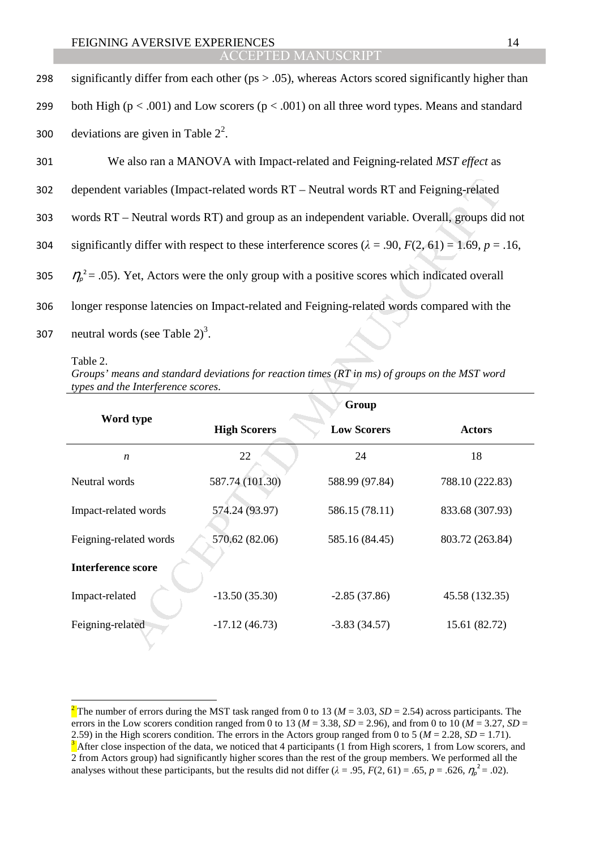#### **ACCEPTED MA**

| 298 | significantly differ from each other ( $ps > .05$ ), whereas Actors scored significantly higher than               |
|-----|--------------------------------------------------------------------------------------------------------------------|
| 299 | both High ( $p < .001$ ) and Low scorers ( $p < .001$ ) on all three word types. Means and standard                |
| 300 | deviations are given in Table $2^2$ .                                                                              |
| 301 | We also ran a MANOVA with Impact-related and Feigning-related MST effect as                                        |
| 302 | dependent variables (Impact-related words RT – Neutral words RT and Feigning-related                               |
| 303 | words RT – Neutral words RT) and group as an independent variable. Overall, groups did not                         |
| 304 | significantly differ with respect to these interference scores ( $\lambda = .90$ , $F(2, 61) = 1.69$ , $p = .16$ , |
| 305 | $\eta_{\rho}^2$ = .05). Yet, Actors were the only group with a positive scores which indicated overall             |
| 306 | longer response latencies on Impact-related and Feigning-related words compared with the                           |
| 307 | neutral words (see Table $2^3$ ) <sup>3</sup> .                                                                    |

 $\overline{a}$ 

*Groups' means and standard deviations for reaction times (RT in ms) of groups on the MST word types and the Interference scores*.

| <b>Interference score</b>                                                                                                                                                                                                                                                                                                                                                                                                                                                                                                                                                                                                                                                                                                                                                                                                                                                                                                                                                                                                                                                                                                                         |  |  |  |  |  |  |  |
|---------------------------------------------------------------------------------------------------------------------------------------------------------------------------------------------------------------------------------------------------------------------------------------------------------------------------------------------------------------------------------------------------------------------------------------------------------------------------------------------------------------------------------------------------------------------------------------------------------------------------------------------------------------------------------------------------------------------------------------------------------------------------------------------------------------------------------------------------------------------------------------------------------------------------------------------------------------------------------------------------------------------------------------------------------------------------------------------------------------------------------------------------|--|--|--|--|--|--|--|
|                                                                                                                                                                                                                                                                                                                                                                                                                                                                                                                                                                                                                                                                                                                                                                                                                                                                                                                                                                                                                                                                                                                                                   |  |  |  |  |  |  |  |
| Feigning-related<br>$-17.12(46.73)$<br>$-3.83(34.57)$<br>15.61 (82.72)                                                                                                                                                                                                                                                                                                                                                                                                                                                                                                                                                                                                                                                                                                                                                                                                                                                                                                                                                                                                                                                                            |  |  |  |  |  |  |  |
| dependent variables (Impact-related words RT - Neutral words RT and Feigning-related<br>words RT – Neutral words RT) and group as an independent variable. Overall, groups did not<br>significantly differ with respect to these interference scores ( $\lambda = .90$ , $F(2, 61) = 1.69$ , $p = .16$ ,<br>$\eta_{\rho}^2$ = .05). Yet, Actors were the only group with a positive scores which indicated overall<br>longer response latencies on Impact-related and Feigning-related words compared with the<br>neutral words (see Table $2^3$ .<br>Table 2.<br>Groups' means and standard deviations for reaction times (RT in ms) of groups on the MST word<br>types and the Interference scores.<br>Group<br>Word type<br><b>High Scorers</b><br><b>Low Scorers</b><br><b>Actors</b><br>24<br>18<br>22<br>$\boldsymbol{n}$<br>587.74 (101.30)<br>Neutral words<br>588.99 (97.84)<br>788.10 (222.83)<br>Impact-related words<br>574.24 (93.97)<br>586.15 (78.11)<br>833.68 (307.93)<br>Feigning-related words<br>570.62 (82.06)<br>585.16 (84.45)<br>803.72 (263.84)<br>Impact-related<br>$-13.50(35.30)$<br>$-2.85(37.86)$<br>45.58 (132.35) |  |  |  |  |  |  |  |

<sup>&</sup>lt;sup>2</sup> The number of errors during the MST task ranged from 0 to 13 ( $M = 3.03$ ,  $SD = 2.54$ ) across participants. The errors in the Low scorers condition ranged from 0 to 13 ( $M = 3.38$ ,  $SD = 2.96$ ), and from 0 to 10 ( $M = 3.27$ ,  $SD =$ 2.59) in the High scorers condition. The errors in the Actors group ranged from 0 to 5 ( $M = 2.28$ ,  $SD = 1.71$ ). <sup>3</sup> After close inspection of the data, we noticed that 4 participants (1 from High scorers, 1 from Low scorers, and 2 from Actors group) had significantly higher scores than the rest of the group members. We performed all the analyses without these participants, but the results did not differ  $(\lambda = .95, F(2, 61) = .65, p = .626, \eta_p^2 = .02)$ .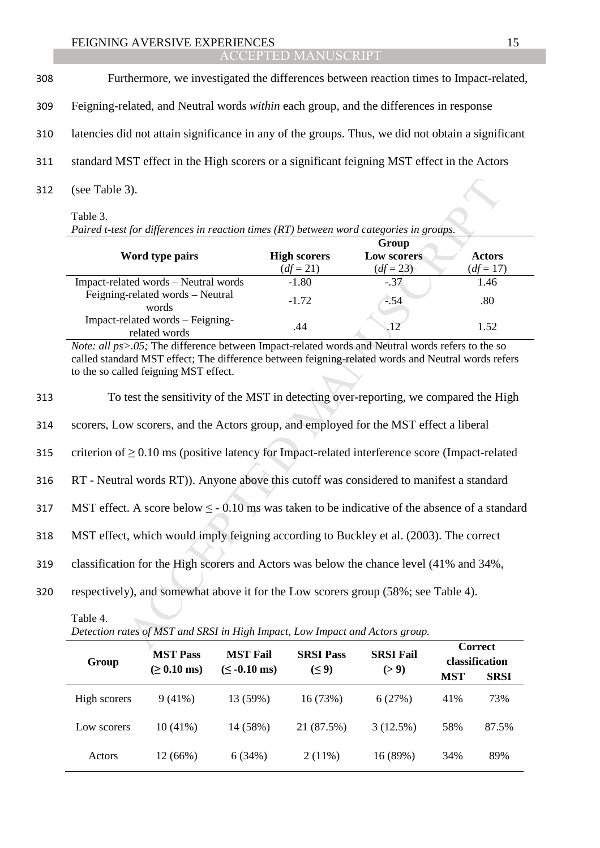### ACCEPTED MANUSCRIPT

| 308 | Furthermore, we investigated the differences between reaction times to Impact-related,            |  |
|-----|---------------------------------------------------------------------------------------------------|--|
| 309 | Feigning-related, and Neutral words <i>within</i> each group, and the differences in response     |  |
| 310 | latencies did not attain significance in any of the groups. Thus, we did not obtain a significant |  |
| 311 | standard MST effect in the High scores or a significant feigning MST effect in the Actors         |  |
| 312 | (see Table 3).                                                                                    |  |

Table 3.

| Paired t-test for differences in reaction times (RT) between word categories in groups. |                     |                    |               |  |  |
|-----------------------------------------------------------------------------------------|---------------------|--------------------|---------------|--|--|
|                                                                                         |                     | Group              |               |  |  |
| Word type pairs                                                                         | <b>High scorers</b> | <b>Low scorers</b> | <b>Actors</b> |  |  |
|                                                                                         | $(df = 21)$         | $(df = 23)$        | $(df = 17)$   |  |  |
| Impact-related words – Neutral words                                                    | $-1.80$             | $-.37$             | 1.46          |  |  |
| Feigning-related words - Neutral<br>words                                               | $-1.72$             | $-54$              | .80           |  |  |
| Impact-related words – Feigning-<br>related words                                       | .44                 | $-12$              | 1.52          |  |  |

| 312 | (see Table 3).                                                                                                                                                                                                                                  |                        |                       |                     |  |  |
|-----|-------------------------------------------------------------------------------------------------------------------------------------------------------------------------------------------------------------------------------------------------|------------------------|-----------------------|---------------------|--|--|
|     | Table 3.<br>Paired t-test for differences in reaction times (RT) between word categories in groups.                                                                                                                                             |                        |                       |                     |  |  |
|     |                                                                                                                                                                                                                                                 |                        | Group                 |                     |  |  |
|     | Word type pairs                                                                                                                                                                                                                                 | <b>High scorers</b>    | Low scorers           | <b>Actors</b>       |  |  |
|     | Impact-related words - Neutral words                                                                                                                                                                                                            | $(df = 21)$<br>$-1.80$ | $(df = 23)$<br>$-.37$ | $(df = 17)$<br>1.46 |  |  |
|     | Feigning-related words - Neutral<br>words                                                                                                                                                                                                       | $-1.72$                | $-.54$                | .80                 |  |  |
|     | Impact-related words - Feigning-<br>related words                                                                                                                                                                                               | .44                    | 12                    | 1.52                |  |  |
|     | Note: all ps>.05; The difference between Impact-related words and Neutral words refers to the so<br>called standard MST effect; The difference between feigning-related words and Neutral words refers<br>to the so called feigning MST effect. |                        |                       |                     |  |  |
| 313 | To test the sensitivity of the MST in detecting over-reporting, we compared the High                                                                                                                                                            |                        |                       |                     |  |  |
| 314 | scorers, Low scorers, and the Actors group, and employed for the MST effect a liberal                                                                                                                                                           |                        |                       |                     |  |  |
| 315 | criterion of $\geq 0.10$ ms (positive latency for Impact-related interference score (Impact-related                                                                                                                                             |                        |                       |                     |  |  |
| 316 | RT - Neutral words RT)). Anyone above this cutoff was considered to manifest a standard                                                                                                                                                         |                        |                       |                     |  |  |
| 317 | MST effect. A score below $\leq$ - 0.10 ms was taken to be indicative of the absence of a standard                                                                                                                                              |                        |                       |                     |  |  |
| 318 | MST effect, which would imply feigning according to Buckley et al. (2003). The correct                                                                                                                                                          |                        |                       |                     |  |  |
| 319 | classification for the High scorers and Actors was below the chance level (41% and 34%,                                                                                                                                                         |                        |                       |                     |  |  |
| 320 | respectively), and somewhat above it for the Low scorers group (58%; see Table 4).                                                                                                                                                              |                        |                       |                     |  |  |
|     | Table 4.<br>Detection rates of MST and SRSI in High Impact, Low Impact and Actors group.                                                                                                                                                        |                        |                       |                     |  |  |
|     |                                                                                                                                                                                                                                                 |                        |                       | <b>Correct</b>      |  |  |

| Detection rates of MST and SRSI in High Impact, Low Impact and Actors group. |                                             |                                              |                                |                           |            |                                                 |
|------------------------------------------------------------------------------|---------------------------------------------|----------------------------------------------|--------------------------------|---------------------------|------------|-------------------------------------------------|
| Group                                                                        | <b>MST Pass</b><br>$( \ge 0.10 \text{ ms})$ | <b>MST Fail</b><br>$(\leq -0.10 \text{ ms})$ | <b>SRSI</b> Pass<br>$(\leq 9)$ | <b>SRSI Fail</b><br>(> 9) | <b>MST</b> | <b>Correct</b><br>classification<br><b>SRSI</b> |
| High scorers                                                                 | $9(41\%)$                                   | 13 (59%)                                     | 16 (73%)                       | 6(27%)                    | 41%        | 73%                                             |
| Low scorers                                                                  | $10(41\%)$                                  | 14 (58%)                                     | 21 (87.5%)                     | 3(12.5%)                  | 58%        | 87.5%                                           |
| Actors                                                                       | 12 (66%)                                    | 6(34%)                                       | $2(11\%)$                      | 16 (89%)                  | 34%        | 89%                                             |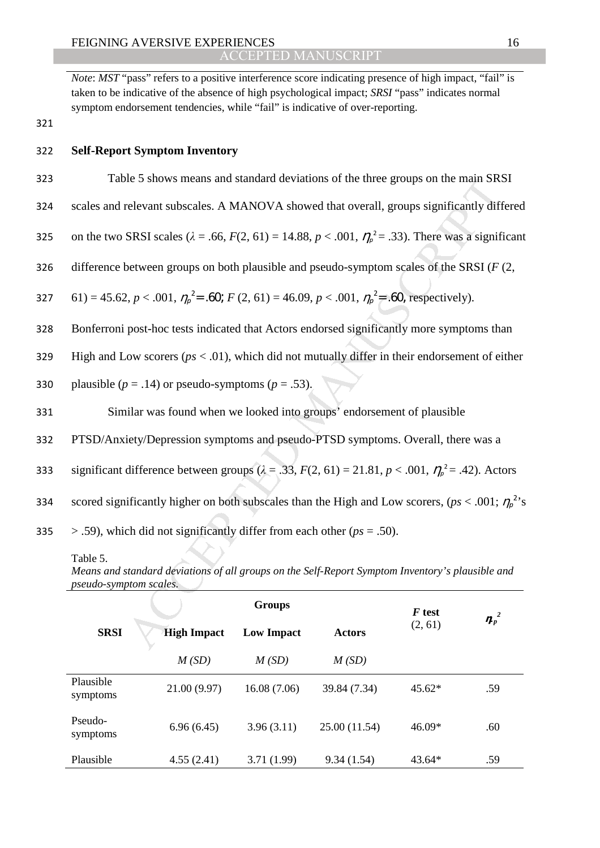*Note: MST* "pass" refers to a positive interference score indicating presence of high impact, "fail" is taken to be indicative of the absence of high psychological impact; *SRSI* "pass" indicates normal symptom endorsement tendencies, while "fail" is indicative of over-reporting.

321

## 322 **Self-Report Symptom Inventory**

- 323 Table 5 shows means and standard deviations of the three groups on the main SRSI
- 324 scales and relevant subscales. A MANOVA showed that overall, groups significantly differed

325 on the two SRSI scales ( $λ = .66$ ,  $F(2, 61) = 14.88$ ,  $p < .001$ ,  $η<sub>p</sub><sup>2</sup> = .33$ ). There was a significant

326 difference between groups on both plausible and pseudo-symptom scales of the SRSI (*F* (2,

327 61) = 45.62, 
$$
p < .001
$$
,  $\eta_p^2 = .60$ ;  $F(2, 61) = 46.09$ ,  $p < .001$ ,  $\eta_p^2 = .60$ , respectively).

- 328 Bonferroni post-hoc tests indicated that Actors endorsed significantly more symptoms than
- 329 High and Low scorers (*ps* < .01), which did not mutually differ in their endorsement of either
- 330 plausible  $(p = .14)$  or pseudo-symptoms  $(p = .53)$ .
- 331 Similar was found when we looked into groups' endorsement of plausible
- 332 PTSD/Anxiety/Depression symptoms and pseudo-PTSD symptoms. Overall, there was a
- significant difference between groups  $(\lambda = .33, F(2, 61) = 21.81, p < .001, \eta_p^2 = .42)$ . Actors
- scored significantly higher on both subscales than the High and Low scorers, ( $ps < .001$ ;  $\eta_p^2$ 's
- 335  $> .59$ ), which did not significantly differ from each other ( $ps = .50$ ).

| Table 5 shows means and standard deviations of the three groups on the main SRSI                                                              |                                                                                                                         |                   |               |         |         |  |
|-----------------------------------------------------------------------------------------------------------------------------------------------|-------------------------------------------------------------------------------------------------------------------------|-------------------|---------------|---------|---------|--|
| scales and relevant subscales. A MANOVA showed that overall, groups significantly differed                                                    |                                                                                                                         |                   |               |         |         |  |
|                                                                                                                                               | on the two SRSI scales ( $\lambda = .66$ , $F(2, 61) = 14.88$ , $p < .001$ , $\eta_p^2 = .33$ ). There was a significan |                   |               |         |         |  |
|                                                                                                                                               | difference between groups on both plausible and pseudo-symptom scales of the SRSI ( $F(2, 1)$ )                         |                   |               |         |         |  |
|                                                                                                                                               | 61) = 45.62, $p < .001$ , $\eta_p^2 = .60$ ; $F(2, 61) = 46.09$ , $p < .001$ , $\eta_p^2 = .60$ , respectively).        |                   |               |         |         |  |
|                                                                                                                                               | Bonferroni post-hoc tests indicated that Actors endorsed significantly more symptoms than                               |                   |               |         |         |  |
|                                                                                                                                               | High and Low scorers ( $ps < .01$ ), which did not mutually differ in their endorsement of either                       |                   |               |         |         |  |
|                                                                                                                                               | plausible ( $p = .14$ ) or pseudo-symptoms ( $p = .53$ ).                                                               |                   |               |         |         |  |
|                                                                                                                                               | Similar was found when we looked into groups' endorsement of plausible                                                  |                   |               |         |         |  |
| PTSD/Anxiety/Depression symptoms and pseudo-PTSD symptoms. Overall, there was a                                                               |                                                                                                                         |                   |               |         |         |  |
| significant difference between groups ( $\lambda = .33$ , $F(2, 61) = 21.81$ , $p < .001$ , $\eta_p^2 = .42$ ). Actors                        |                                                                                                                         |                   |               |         |         |  |
| scored significantly higher on both subscales than the High and Low scorers, ( $ps < .001$ ; $\eta_p^2$ ,                                     |                                                                                                                         |                   |               |         |         |  |
| $>$ .59), which did not significantly differ from each other ( $ps = .50$ ).                                                                  |                                                                                                                         |                   |               |         |         |  |
| Table 5.<br>Means and standard deviations of all groups on the Self-Report Symptom Inventory's plausible and<br><i>pseudo-symptom scales.</i> |                                                                                                                         |                   |               |         |         |  |
|                                                                                                                                               |                                                                                                                         | <b>Groups</b>     |               | F test  |         |  |
| <b>SRSI</b>                                                                                                                                   | <b>High Impact</b>                                                                                                      | <b>Low Impact</b> | <b>Actors</b> | (2, 61) | $n_p^2$ |  |
|                                                                                                                                               | M(SD)                                                                                                                   | M(SD)             | M(SD)         |         |         |  |
| Plausible<br>symptoms                                                                                                                         | 21.00 (9.97)                                                                                                            | 16.08 (7.06)      | 39.84 (7.34)  | 45.62*  | .59     |  |
| Pseudo-<br>symptoms                                                                                                                           | 6.96(6.45)                                                                                                              | 3.96(3.11)        | 25.00 (11.54) | 46.09*  | .60     |  |
| Plausible                                                                                                                                     | 4.55(2.41)                                                                                                              | 3.71(1.99)        | 9.34(1.54)    | 43.64*  | .59     |  |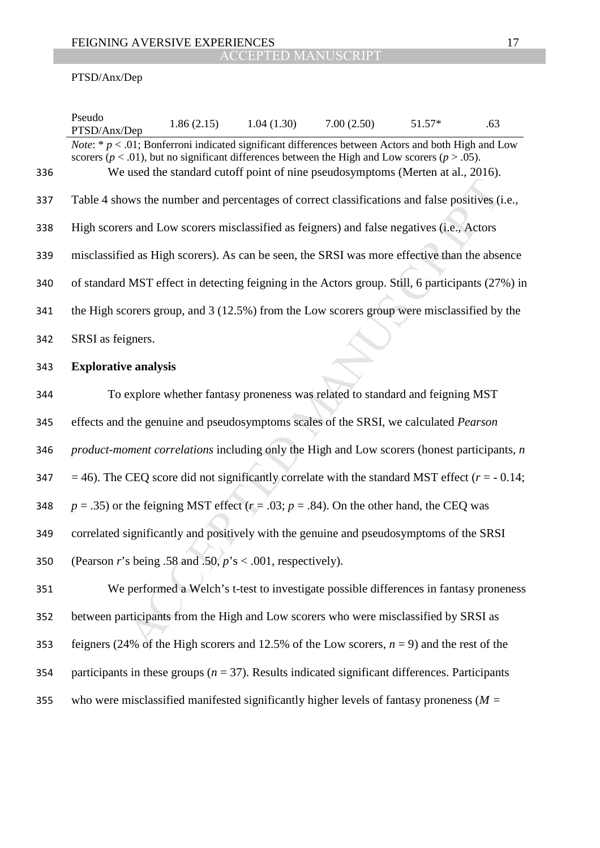## PTSD/Anx/Dep

|     | Pseudo<br>PTSD/Anx/Dep                                                                                                                                                                                                | 1.86(2.15) | 1.04(1.30) | 7.00(2.50)                                                                             | 51.57* | .63 |
|-----|-----------------------------------------------------------------------------------------------------------------------------------------------------------------------------------------------------------------------|------------|------------|----------------------------------------------------------------------------------------|--------|-----|
|     | <i>Note:</i> * $p < .01$ ; Bonferroni indicated significant differences between Actors and both High and Low<br>scorers ( $p < .01$ ), but no significant differences between the High and Low scorers ( $p > .05$ ). |            |            |                                                                                        |        |     |
| 336 |                                                                                                                                                                                                                       |            |            | We used the standard cutoff point of nine pseudosymptoms (Merten at al., 2016).        |        |     |
| 337 | Table 4 shows the number and percentages of correct classifications and false positives (i.e.,                                                                                                                        |            |            |                                                                                        |        |     |
| 338 | High scorers and Low scorers misclassified as feigners) and false negatives (i.e., Actors                                                                                                                             |            |            |                                                                                        |        |     |
| 339 | misclassified as High scorers). As can be seen, the SRSI was more effective than the absence                                                                                                                          |            |            |                                                                                        |        |     |
| 340 | of standard MST effect in detecting feigning in the Actors group. Still, 6 participants (27%) in                                                                                                                      |            |            |                                                                                        |        |     |
| 341 | the High scorers group, and $3(12.5\%)$ from the Low scorers group were misclassified by the                                                                                                                          |            |            |                                                                                        |        |     |
| 342 | SRSI as feigners.                                                                                                                                                                                                     |            |            |                                                                                        |        |     |
| 343 | <b>Explorative analysis</b>                                                                                                                                                                                           |            |            |                                                                                        |        |     |
| 344 |                                                                                                                                                                                                                       |            |            | To explore whether fantasy proneness was related to standard and feigning MST          |        |     |
| 345 | effects and the genuine and pseudosymptoms scales of the SRSI, we calculated <i>Pearson</i>                                                                                                                           |            |            |                                                                                        |        |     |
| 346 | <i>product-moment correlations</i> including only the High and Low scorers (honest participants, <i>n</i>                                                                                                             |            |            |                                                                                        |        |     |
| 347 | $=$ 46). The CEQ score did not significantly correlate with the standard MST effect ( $r = -0.14$ ;                                                                                                                   |            |            |                                                                                        |        |     |
| 348 | $p = .35$ ) or the feigning MST effect ( $r = .03$ ; $p = .84$ ). On the other hand, the CEQ was                                                                                                                      |            |            |                                                                                        |        |     |
| 349 | correlated significantly and positively with the genuine and pseudosymptoms of the SRSI                                                                                                                               |            |            |                                                                                        |        |     |
| 350 | (Pearson r's being .58 and .50, $p$ 's < .001, respectively).                                                                                                                                                         |            |            |                                                                                        |        |     |
| 351 |                                                                                                                                                                                                                       |            |            | We performed a Welch's t-test to investigate possible differences in fantasy proneness |        |     |
| 352 | between participants from the High and Low scorers who were misclassified by SRSI as                                                                                                                                  |            |            |                                                                                        |        |     |
| 353 | feigners (24% of the High scorers and 12.5% of the Low scorers, $n = 9$ ) and the rest of the                                                                                                                         |            |            |                                                                                        |        |     |
| 354 | participants in these groups ( $n = 37$ ). Results indicated significant differences. Participants                                                                                                                    |            |            |                                                                                        |        |     |
| 355 | who were misclassified manifested significantly higher levels of fantasy proneness ( $M =$                                                                                                                            |            |            |                                                                                        |        |     |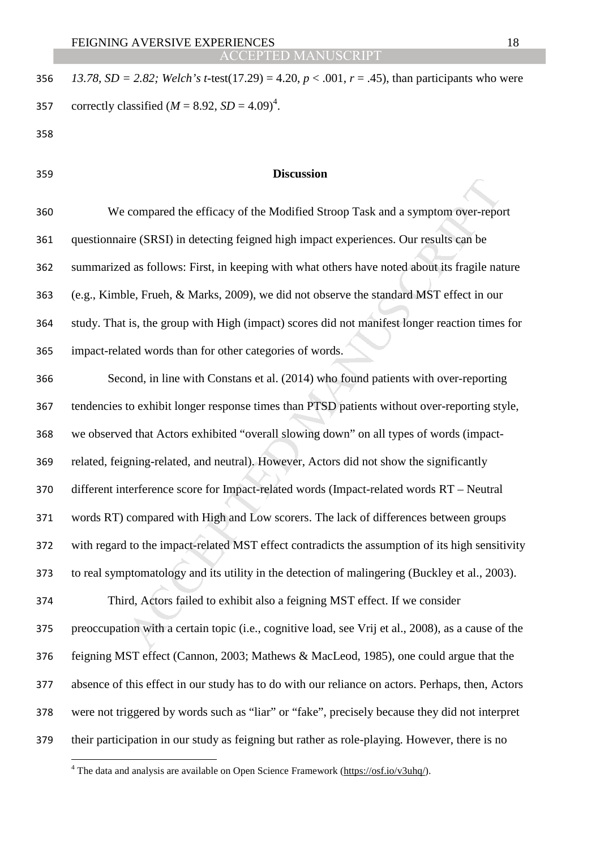*13.78, SD = 2.82; Welch's t-*test(17.29) = 4.20, *p* < .001, *r* = .45), than participants who were 357 correctly classified  $(M = 8.92, SD = 4.09)^4$ .

- 
- 

l

## **Discussion**

We compared the efficacy of the Modified Stroop Task and a symptom over-report questionnaire (SRSI) in detecting feigned high impact experiences. Our results can be summarized as follows: First, in keeping with what others have noted about its fragile nature (e.g., Kimble, Frueh, & Marks, 2009), we did not observe the standard MST effect in our study. That is, the group with High (impact) scores did not manifest longer reaction times for impact-related words than for other categories of words.

Examplement the efficacy of the Modified Stroop Task and a symptom over-reportive (SRSI) in detecting feigned high impact experiences. Our results can be d as follows: First, in keeping with what others have noted about it Second, in line with Constans et al. (2014) who found patients with over-reporting tendencies to exhibit longer response times than PTSD patients without over-reporting style, we observed that Actors exhibited "overall slowing down" on all types of words (impact-related, feigning-related, and neutral). However, Actors did not show the significantly different interference score for Impact-related words (Impact-related words RT – Neutral words RT) compared with High and Low scorers. The lack of differences between groups with regard to the impact-related MST effect contradicts the assumption of its high sensitivity to real symptomatology and its utility in the detection of malingering (Buckley et al., 2003). Third, Actors failed to exhibit also a feigning MST effect. If we consider preoccupation with a certain topic (i.e., cognitive load, see Vrij et al., 2008), as a cause of the feigning MST effect (Cannon, 2003; Mathews & MacLeod, 1985), one could argue that the absence of this effect in our study has to do with our reliance on actors. Perhaps, then, Actors were not triggered by words such as "liar" or "fake", precisely because they did not interpret their participation in our study as feigning but rather as role-playing. However, there is no

<sup>&</sup>lt;sup>4</sup> The data and analysis are available on Open Science Framework ( $\frac{https://osf.io/v3uhq/}{https://osf.io/v3uhq/}$ ).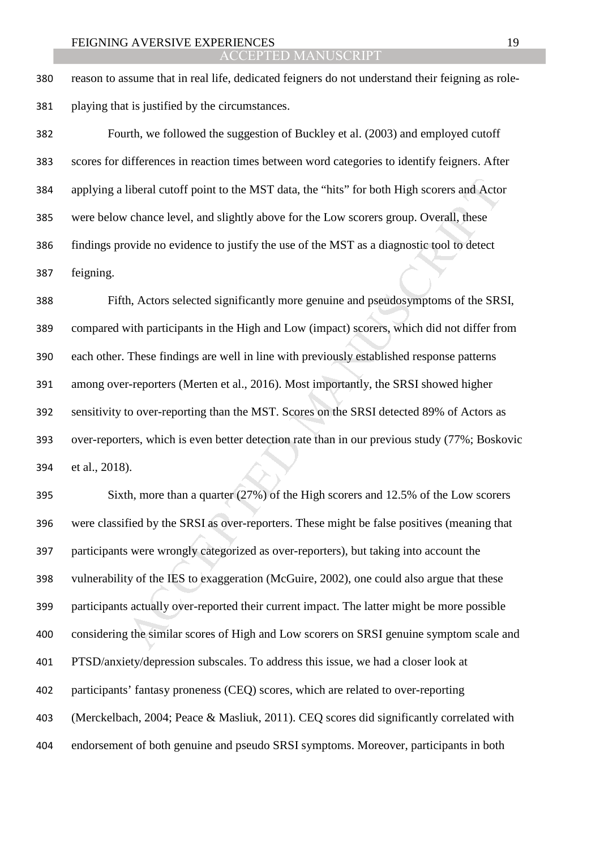reason to assume that in real life, dedicated feigners do not understand their feigning as role-playing that is justified by the circumstances.

Fourth, we followed the suggestion of Buckley et al. (2003) and employed cutoff scores for differences in reaction times between word categories to identify feigners. After applying a liberal cutoff point to the MST data, the "hits" for both High scorers and Actor were below chance level, and slightly above for the Low scorers group. Overall, these findings provide no evidence to justify the use of the MST as a diagnostic tool to detect feigning.

liberal cutoff point to the MST data, the "hits" for both High scorers and Acto<br>
chance level, and slightly above for the Low scorers group. Overall, these<br>
ovide no evidence to justify the use of the MST as a diagnostic t Fifth, Actors selected significantly more genuine and pseudosymptoms of the SRSI, compared with participants in the High and Low (impact) scorers, which did not differ from each other. These findings are well in line with previously established response patterns among over-reporters (Merten et al., 2016). Most importantly, the SRSI showed higher sensitivity to over-reporting than the MST. Scores on the SRSI detected 89% of Actors as over-reporters, which is even better detection rate than in our previous study (77%; Boskovic et al., 2018).

Sixth, more than a quarter (27%) of the High scorers and 12.5% of the Low scorers were classified by the SRSI as over-reporters. These might be false positives (meaning that participants were wrongly categorized as over-reporters), but taking into account the vulnerability of the IES to exaggeration (McGuire, 2002), one could also argue that these participants actually over-reported their current impact. The latter might be more possible considering the similar scores of High and Low scorers on SRSI genuine symptom scale and PTSD/anxiety/depression subscales. To address this issue, we had a closer look at participants' fantasy proneness (CEQ) scores, which are related to over-reporting (Merckelbach, 2004; Peace & Masliuk, 2011). CEQ scores did significantly correlated with endorsement of both genuine and pseudo SRSI symptoms. Moreover, participants in both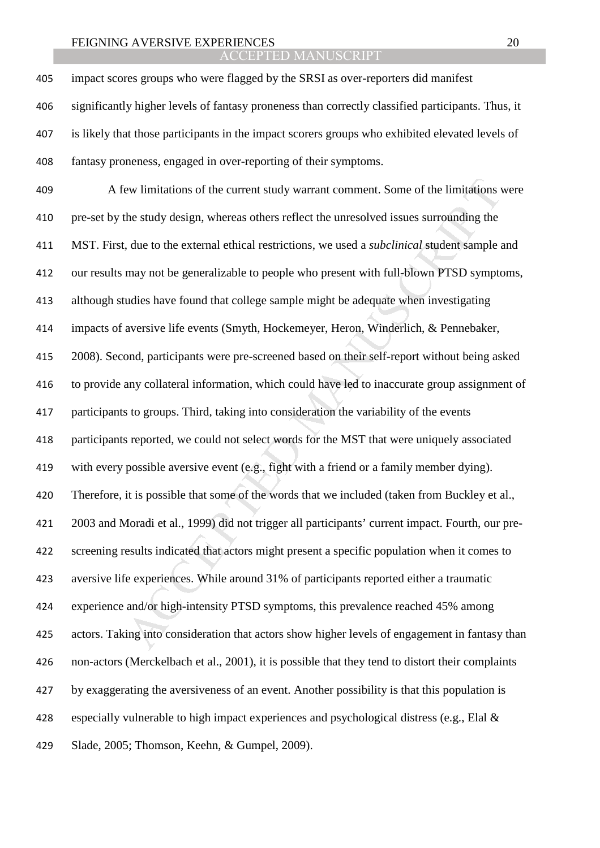ACCEPTED MANUSCRIPT

impact scores groups who were flagged by the SRSI as over-reporters did manifest significantly higher levels of fantasy proneness than correctly classified participants. Thus, it is likely that those participants in the impact scorers groups who exhibited elevated levels of fantasy proneness, engaged in over-reporting of their symptoms.

ew limitations of the current study warrant comment. Some of the limitations the suddy design, whereas others reflect the unresolved issues surrounding the due to the external ethical restrictions, we used a *subclinical* A few limitations of the current study warrant comment. Some of the limitations were pre-set by the study design, whereas others reflect the unresolved issues surrounding the MST. First, due to the external ethical restrictions, we used a *subclinical* student sample and our results may not be generalizable to people who present with full-blown PTSD symptoms, although studies have found that college sample might be adequate when investigating impacts of aversive life events (Smyth, Hockemeyer, Heron, Winderlich, & Pennebaker, 2008). Second, participants were pre-screened based on their self-report without being asked to provide any collateral information, which could have led to inaccurate group assignment of participants to groups. Third, taking into consideration the variability of the events participants reported, we could not select words for the MST that were uniquely associated with every possible aversive event (e.g., fight with a friend or a family member dying). Therefore, it is possible that some of the words that we included (taken from Buckley et al., 2003 and Moradi et al., 1999) did not trigger all participants' current impact. Fourth, our pre-screening results indicated that actors might present a specific population when it comes to aversive life experiences. While around 31% of participants reported either a traumatic experience and/or high-intensity PTSD symptoms, this prevalence reached 45% among actors. Taking into consideration that actors show higher levels of engagement in fantasy than non-actors (Merckelbach et al., 2001), it is possible that they tend to distort their complaints by exaggerating the aversiveness of an event. Another possibility is that this population is 428 especially vulnerable to high impact experiences and psychological distress (e.g., Elal  $\&$ Slade, 2005; Thomson, Keehn, & Gumpel, 2009).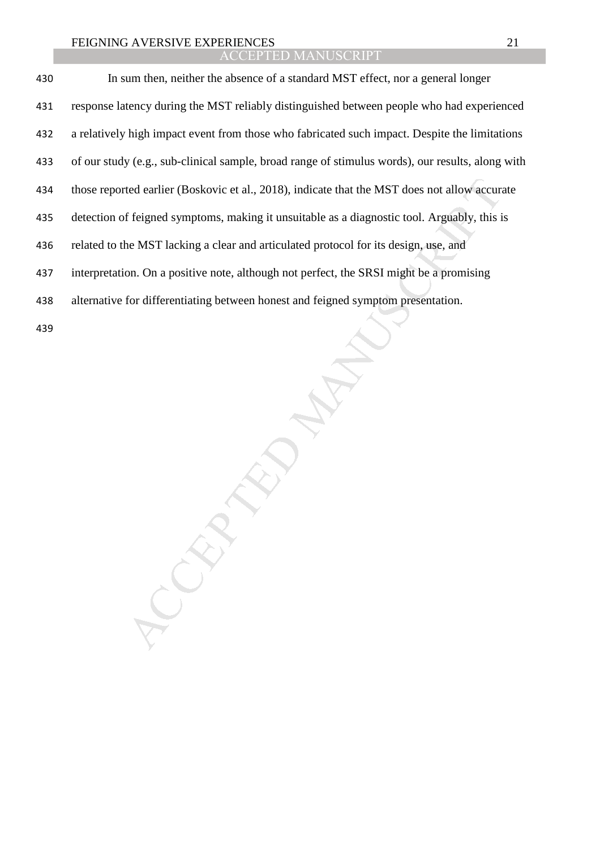| 430 | In sum then, neither the absence of a standard MST effect, nor a general longer                  |
|-----|--------------------------------------------------------------------------------------------------|
| 431 | response latency during the MST reliably distinguished between people who had experienced        |
| 432 | a relatively high impact event from those who fabricated such impact. Despite the limitations    |
| 433 | of our study (e.g., sub-clinical sample, broad range of stimulus words), our results, along with |
| 434 | those reported earlier (Boskovic et al., 2018), indicate that the MST does not allow accurate    |
| 435 | detection of feigned symptoms, making it unsuitable as a diagnostic tool. Arguably, this is      |
| 436 | related to the MST lacking a clear and articulated protocol for its design, use, and             |
| 437 | interpretation. On a positive note, although not perfect, the SRSI might be a promising          |
| 438 | alternative for differentiating between honest and feigned symptom presentation.                 |
| 439 |                                                                                                  |

MANUSCRIPT ACCEPTED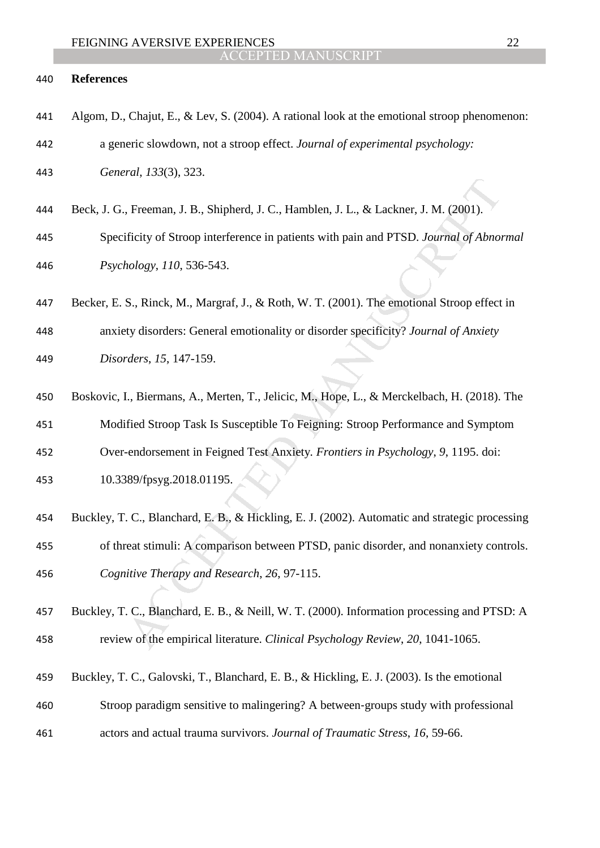### **References**

- Algom, D., Chajut, E., & Lev, S. (2004). A rational look at the emotional stroop phenomenon: a generic slowdown, not a stroop effect. *Journal of experimental psychology: General*, *133*(3), 323.
- Beck, J. G., Freeman, J. B., Shipherd, J. C., Hamblen, J. L., & Lackner, J. M. (2001).
- Specificity of Stroop interference in patients with pain and PTSD. *Journal of Abnormal Psychology*, *110*, 536-543.
- Becker, E. S., Rinck, M., Margraf, J., & Roth, W. T. (2001). The emotional Stroop effect in

anxiety disorders: General emotionality or disorder specificity? *Journal of Anxiety Disorders*, *15*, 147-159.

- Boskovic, I., Biermans, A., Merten, T., Jelicic, M., Hope, L., & Merckelbach, H. (2018). The Modified Stroop Task Is Susceptible To Feigning: Stroop Performance and Symptom
- Over-endorsement in Feigned Test Anxiety*. Frontiers in Psychology*, *9*, 1195. doi:
- 10.3389/fpsyg.2018.01195.
- , Freeman, J. B., Shipherd, J. C., Hamblen, J. L., & Lackner, J. M. (2001).<br>ificity of Stroop interference in patients with pain and PTSD. Journal of Abnor<br>tology, 110, 536-543.<br>S., Rinck, M., Margraf, J., & Roth, W. T. (2 Buckley, T. C., Blanchard, E. B., & Hickling, E. J. (2002). Automatic and strategic processing of threat stimuli: A comparison between PTSD, panic disorder, and nonanxiety controls. *Cognitive Therapy and Research*, *26*, 97-115.
- Buckley, T. C., Blanchard, E. B., & Neill, W. T. (2000). Information processing and PTSD: A review of the empirical literature. *Clinical Psychology Review*, *20*, 1041-1065.
- Buckley, T. C., Galovski, T., Blanchard, E. B., & Hickling, E. J. (2003). Is the emotional
- Stroop paradigm sensitive to malingering? A between‐groups study with professional
- actors and actual trauma survivors. *Journal of Traumatic Stress*, *16*, 59-66.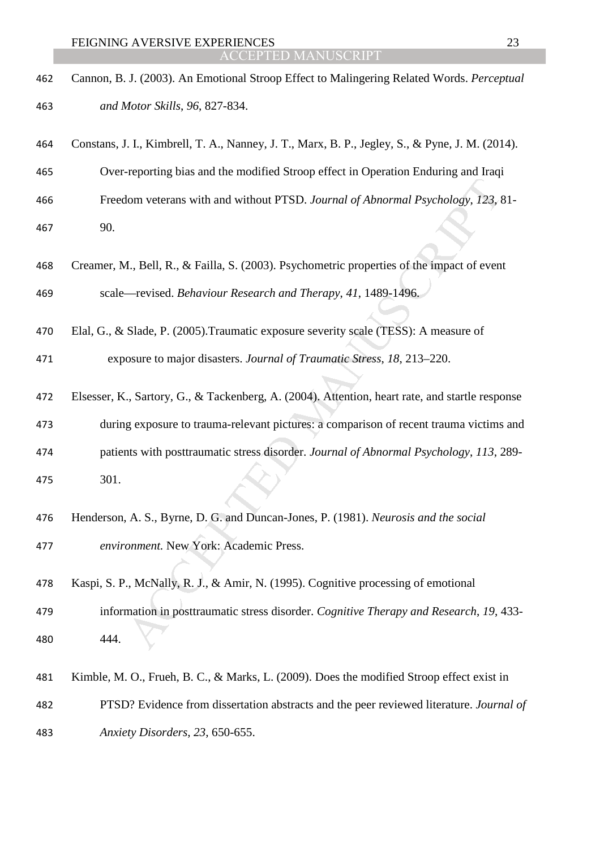- Cannon, B. J. (2003). An Emotional Stroop Effect to Malingering Related Words. *Perceptual and Motor Skills*, *96*, 827-834.
- Constans, J. I., Kimbrell, T. A., Nanney, J. T., Marx, B. P., Jegley, S., & Pyne, J. M. (2014).

Over-reporting bias and the modified Stroop effect in Operation Enduring and Iraqi

- Freedom veterans with and without PTSD. *Journal of Abnormal Psychology*, *123*, 81- 90.
- Creamer, M., Bell, R., & Failla, S. (2003). Psychometric properties of the impact of event scale—revised. *Behaviour Research and Therapy*, *41*, 1489-1496.
- Elal, G., & Slade, P. (2005).Traumatic exposure severity scale (TESS): A measure of

exposure to major disasters. *Journal of Traumatic Stress*, *18*, 213–220.

- dom veterans with and without PTSD. Journal of Abnormal Psychology, 123, 1<br>
1., Bell, R., & Failla, S. (2003). Psychometric properties of the impact of even<br>
—revised. Behaviour Research and Therapy, 41, 1489-1496.<br>
Slade, Elsesser, K., Sartory, G., & Tackenberg, A. (2004). Attention, heart rate, and startle response during exposure to trauma-relevant pictures: a comparison of recent trauma victims and patients with posttraumatic stress disorder. *Journal of Abnormal Psychology*, *113*, 289- 301.
- Henderson, A. S., Byrne, D. G. and Duncan-Jones, P. (1981). *Neurosis and the social*
- *environment.* New York: Academic Press.
- Kaspi, S. P., McNally, R. J., & Amir, N. (1995). Cognitive processing of emotional
- information in posttraumatic stress disorder. *Cognitive Therapy and Research*, *19*, 433- 444.
- Kimble, M. O., Frueh, B. C., & Marks, L. (2009). Does the modified Stroop effect exist in PTSD? Evidence from dissertation abstracts and the peer reviewed literature. *Journal of Anxiety Disorders*, *23*, 650-655.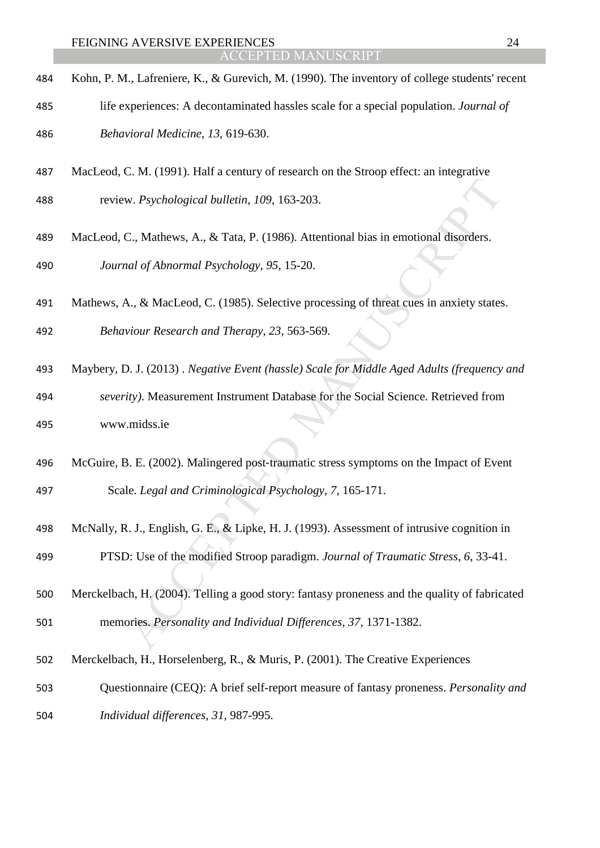- Kohn, P. M., Lafreniere, K., & Gurevich, M. (1990). The inventory of college students' recent
- life experiences: A decontaminated hassles scale for a special population. *Journal of Behavioral Medicine*, *13*, 619-630.
- MacLeod, C. M. (1991). Half a century of research on the Stroop effect: an integrative
- review. *Psychological bulletin*, *109*, 163-203.
- MacLeod, C., Mathews, A., & Tata, P. (1986). Attentional bias in emotional disorders. *Journal of Abnormal Psychology*, *95*, 15-20.
- Mathews, A., & MacLeod, C. (1985). Selective processing of threat cues in anxiety states. *Behaviour Research and Therapy*, *23,* 563-569.
- Maybery, D. J. (2013) . *Negative Event (hassle) Scale for Middle Aged Adults (frequency and*
- W. Psychological bulletin, 109, 163-203.<br>
C., Mathews, A., & Tata, P. (1986). Attentional bias in emotional disorders.<br>
and of Abnormal Psychology, 95, 15-20.<br>
A., & MacLeod, C. (1985). Selective processing of threat cues *severity)*. Measurement Instrument Database for the Social Science. Retrieved from www.midss.ie
- 496 McGuire, B. E. (2002). Malingered post-traumatic stress symptoms on the Impact of Event Scale. *Legal and Criminological Psychology*, *7*, 165-171.
- McNally, R. J., English, G. E., & Lipke, H. J. (1993). Assessment of intrusive cognition in PTSD: Use of the modified Stroop paradigm. *Journal of Traumatic Stress*, *6*, 33-41.
- Merckelbach, H. (2004). Telling a good story: fantasy proneness and the quality of fabricated memories. *Personality and Individual Differences*, *37*, 1371-1382.
- Merckelbach, H., Horselenberg, R., & Muris, P. (2001). The Creative Experiences
- Questionnaire (CEQ): A brief self-report measure of fantasy proneness. *Personality and Individual differences*, *31*, 987-995.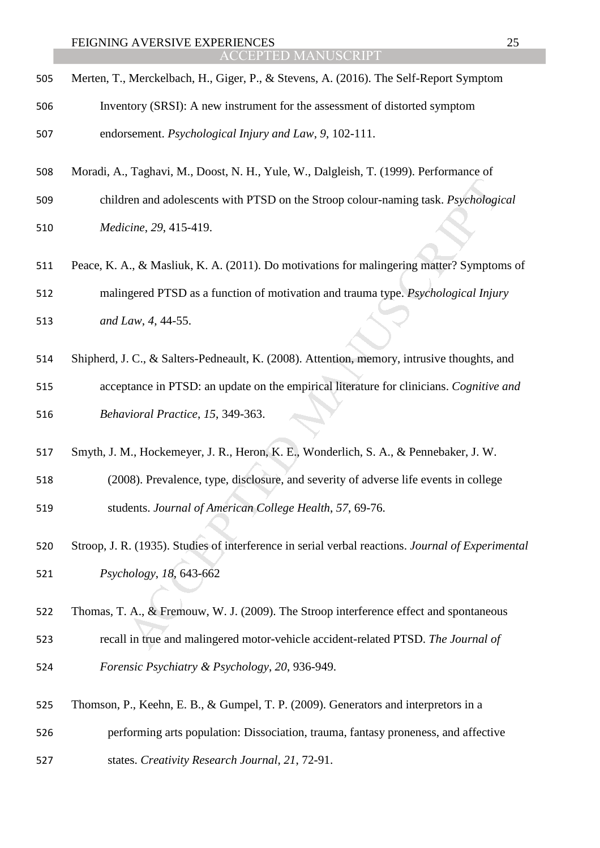- Merten, T., Merckelbach, H., Giger, P., & Stevens, A. (2016). The Self-Report Symptom Inventory (SRSI): A new instrument for the assessment of distorted symptom endorsement. *Psychological Injury and Law*, *9*, 102-111.
- Moradi, A., Taghavi, M., Doost, N. H., Yule, W., Dalgleish, T. (1999). Performance of
- children and adolescents with PTSD on the Stroop colour-naming task. *Psychological Medicine*, *29*, 415-419.
- Peace, K. A., & Masliuk, K. A. (2011). Do motivations for malingering matter? Symptoms of

malingered PTSD as a function of motivation and trauma type. *Psychological Injury* 

- *and Law*, *4*, 44-55.
- Shipherd, J. C., & Salters-Pedneault, K. (2008). Attention, memory, intrusive thoughts, and
- ren and adolescents with PTSD on the Stroop colour-naming task. *Psychologicine, 29*, 415-419.<br>
A., & Masliuk, K. A. (2011). Do motivations for malingering matter? Sympton agered PTSD as a function of motivation and trauma acceptance in PTSD: an update on the empirical literature for clinicians. *Cognitive and Behavioral Practice*, *15*, 349-363.
- Smyth, J. M., Hockemeyer, J. R., Heron, K. E., Wonderlich, S. A., & Pennebaker, J. W.
- (2008). Prevalence, type, disclosure, and severity of adverse life events in college students. *Journal of American College Health*, *57*, 69-76.
- Stroop, J. R. (1935). Studies of interference in serial verbal reactions. *Journal of Experimental Psychology*, *18*, 643-662
- Thomas, T. A., & Fremouw, W. J. (2009). The Stroop interference effect and spontaneous
- recall in true and malingered motor-vehicle accident-related PTSD. *The Journal of*
- *Forensic Psychiatry & Psychology*, *20*, 936-949.
- Thomson, P., Keehn, E. B., & Gumpel, T. P. (2009). Generators and interpretors in a
- performing arts population: Dissociation, trauma, fantasy proneness, and affective
- states. *Creativity Research Journal*, *21*, 72-91.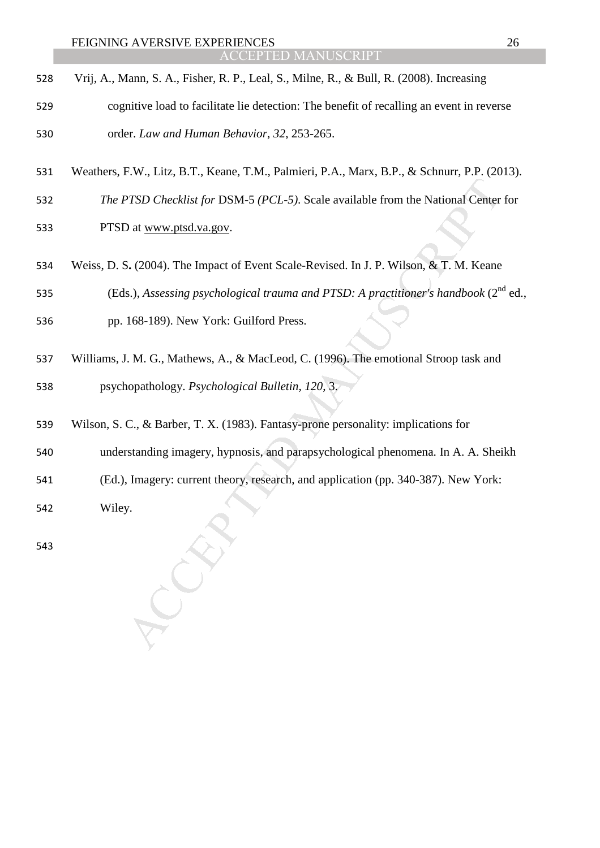| 528 | Vrij, A., Mann, S. A., Fisher, R. P., Leal, S., Milne, R., & Bull, R. (2008). Increasing |
|-----|------------------------------------------------------------------------------------------|
| 529 | cognitive load to facilitate lie detection: The benefit of recalling an event in reverse |
| 530 | order. Law and Human Behavior, 32, 253-265.                                              |

- Weathers, F.W., Litz, B.T., Keane, T.M., Palmieri, P.A., Marx, B.P., & Schnurr, P.P. (2013).
- *The PTSD Checklist for* DSM-5 *(PCL-5)*. Scale available from the National Center for PTSD at www.ptsd.va.gov.
- Weiss, D. S**.** (2004). The Impact of Event Scale-Revised. In J. P. Wilson, & T. M. Keane
- 535 (Eds.), *Assessing psychological trauma and PTSD: A practitioner's handbook* (2<sup>nd</sup> ed.,
- pp. 168-189). New York: Guilford Press.
- PTSD Checklist for DSM-5 (PCL-5). Scale available from the National Center<br>
20 at <u>www.ptsd.va.gov</u>.<br>
3. (2004). The Impact of Event Scale-Revised. In J. P. Wilson, & T. M. Keane<br>
5.), Assessing psychological trauma and P Williams, J. M. G., Mathews, A., & MacLeod, C. (1996). The emotional Stroop task and psychopathology. *Psychological Bulletin*, *120*, 3.
- Wilson, S. C., & Barber, T. X. (1983). Fantasy-prone personality: implications for
- understanding imagery, hypnosis, and parapsychological phenomena. In A. A. Sheikh
- (Ed.), Imagery: current theory, research, and application (pp. 340-387). New York:
- Wiley.
-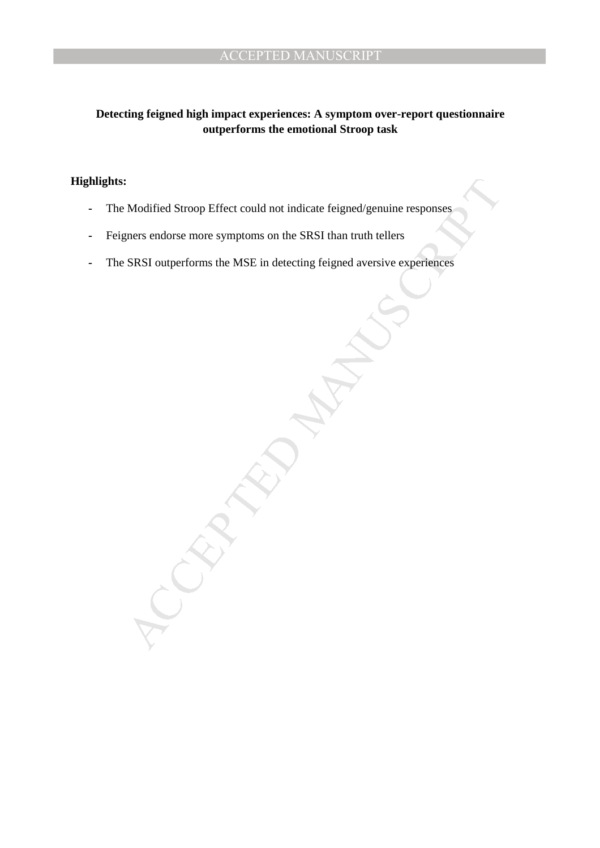## **Detecting feigned high impact experiences: A symptom over-report questionnaire outperforms the emotional Stroop task**

## **Highlights:**

- **-** The Modified Stroop Effect could not indicate feigned/genuine responses
- **-** Feigners endorse more symptoms on the SRSI than truth tellers
- **-** The SRSI outperforms the MSE in detecting feigned aversive experiences

Modified Stroop Effect could not indicate feigned/genuine responses<br>gners endorse more symptoms on the SRSI than truth tellers<br>SRSI outperforms the MSE in detecting feigned aversive experiences<br> $\overbrace{\hspace{15cm}}$ SRSI outperform